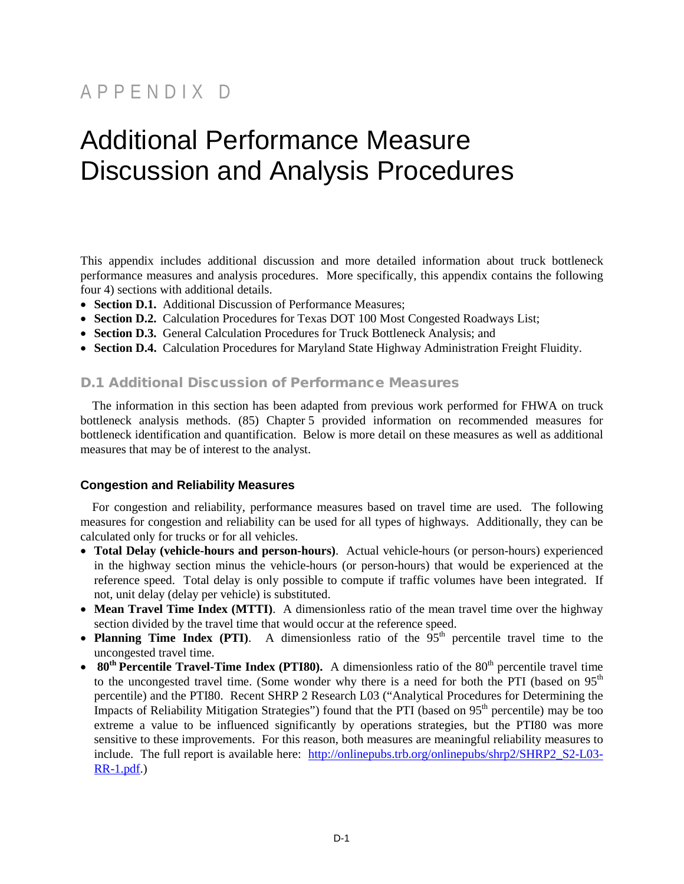## APPENDIX D

# Additional Performance Measure Discussion and Analysis Procedures

This appendix includes additional discussion and more detailed information about truck bottleneck performance measures and analysis procedures. More specifically, this appendix contains the following four 4) sections with additional details.

- **Section D.1.** Additional Discussion of Performance Measures;
- **Section D.2.** Calculation Procedures for Texas DOT 100 Most Congested Roadways List;
- **Section D.3.** General Calculation Procedures for Truck Bottleneck Analysis; and
- **Section D.4.** Calculation Procedures for Maryland State Highway Administration Freight Fluidity.

## D.1 Additional Discussion of Performance Measures

The information in this section has been adapted from previous work performed for FHWA on truck bottleneck analysis methods. (85) Chapter 5 provided information on recommended measures for bottleneck identification and quantification. Below is more detail on these measures as well as additional measures that may be of interest to the analyst.

## **Congestion and Reliability Measures**

For congestion and reliability, performance measures based on travel time are used. The following measures for congestion and reliability can be used for all types of highways. Additionally, they can be calculated only for trucks or for all vehicles.

- **Total Delay (vehicle-hours and person-hours)**. Actual vehicle-hours (or person-hours) experienced in the highway section minus the vehicle-hours (or person-hours) that would be experienced at the reference speed. Total delay is only possible to compute if traffic volumes have been integrated. If not, unit delay (delay per vehicle) is substituted.
- **Mean Travel Time Index (MTTI)**. A dimensionless ratio of the mean travel time over the highway section divided by the travel time that would occur at the reference speed.
- **Planning Time Index (PTI)**. A dimensionless ratio of the  $95<sup>th</sup>$  percentile travel time to the uncongested travel time.
- $80<sup>th</sup>$  Percentile Travel-Time Index (PTI80). A dimensionless ratio of the  $80<sup>th</sup>$  percentile travel time to the uncongested travel time. (Some wonder why there is a need for both the PTI (based on  $95<sup>th</sup>$ percentile) and the PTI80. Recent SHRP 2 Research L03 ("Analytical Procedures for Determining the Impacts of Reliability Mitigation Strategies") found that the PTI (based on  $95<sup>th</sup>$  percentile) may be too extreme a value to be influenced significantly by operations strategies, but the PTI80 was more sensitive to these improvements. For this reason, both measures are meaningful reliability measures to include. The full report is available here: [http://onlinepubs.trb.org/onlinepubs/shrp2/SHRP2\\_S2-L03-](http://onlinepubs.trb.org/onlinepubs/shrp2/SHRP2_S2-L03-RR-1.pdf) [RR-1.pdf.](http://onlinepubs.trb.org/onlinepubs/shrp2/SHRP2_S2-L03-RR-1.pdf))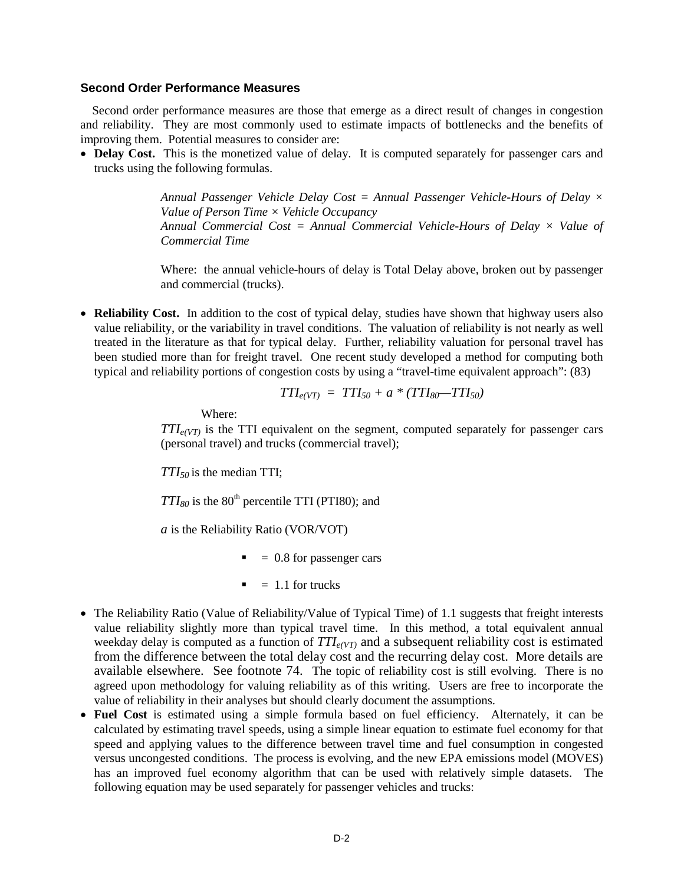#### **Second Order Performance Measures**

Second order performance measures are those that emerge as a direct result of changes in congestion and reliability. They are most commonly used to estimate impacts of bottlenecks and the benefits of improving them. Potential measures to consider are:

• **Delay Cost.** This is the monetized value of delay. It is computed separately for passenger cars and trucks using the following formulas.

> *Annual Passenger Vehicle Delay Cost = Annual Passenger Vehicle-Hours of Delay × Value of Person Time × Vehicle Occupancy Annual Commercial Cost = Annual Commercial Vehicle-Hours of Delay × Value of Commercial Time*

> Where: the annual vehicle-hours of delay is Total Delay above, broken out by passenger and commercial (trucks).

• **Reliability Cost.** In addition to the cost of typical delay, studies have shown that highway users also value reliability, or the variability in travel conditions. The valuation of reliability is not nearly as well treated in the literature as that for typical delay. Further, reliability valuation for personal travel has been studied more than for freight travel. One recent study developed a method for computing both typical and reliability portions of congestion costs by using a "travel-time equivalent approach": (83)

$$
TTI_{e(VT)} = TTI_{50} + a * (TTI_{80} - TTI_{50})
$$

Where:

 $TTI_{e(VT)}$  is the TTI equivalent on the segment, computed separately for passenger cars (personal travel) and trucks (commercial travel);

*TTI50* is the median TTI;

 $TTI_{80}$  is the  $80<sup>th</sup>$  percentile TTI (PTI80); and

*a* is the Reliability Ratio (VOR/VOT)

- $\blacksquare$  = 0.8 for passenger cars
- $= 1.1$  for trucks
- The Reliability Ratio (Value of Reliability/Value of Typical Time) of 1.1 suggests that freight interests value reliability slightly more than typical travel time. In this method, a total equivalent annual weekday delay is computed as a function of  $TTI_{e(V)}$  and a subsequent reliability cost is estimated from the difference between the total delay cost and the recurring delay cost. More details are available elsewhere. See footnote 74. The topic of reliability cost is still evolving. There is no agreed upon methodology for valuing reliability as of this writing. Users are free to incorporate the value of reliability in their analyses but should clearly document the assumptions.
- Fuel Cost is estimated using a simple formula based on fuel efficiency. Alternately, it can be calculated by estimating travel speeds, using a simple linear equation to estimate fuel economy for that speed and applying values to the difference between travel time and fuel consumption in congested versus uncongested conditions. The process is evolving, and the new EPA emissions model (MOVES) has an improved fuel economy algorithm that can be used with relatively simple datasets. The following equation may be used separately for passenger vehicles and trucks: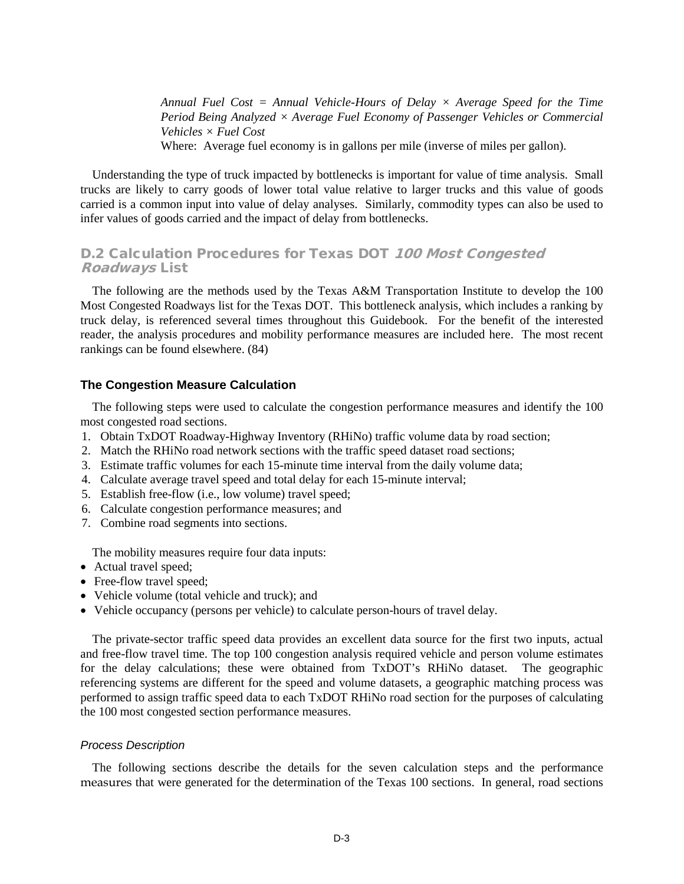*Annual Fuel Cost = Annual Vehicle-Hours of Delay × Average Speed for the Time Period Being Analyzed × Average Fuel Economy of Passenger Vehicles or Commercial Vehicles × Fuel Cost*  Where: Average fuel economy is in gallons per mile (inverse of miles per gallon).

Understanding the type of truck impacted by bottlenecks is important for value of time analysis. Small trucks are likely to carry goods of lower total value relative to larger trucks and this value of goods carried is a common input into value of delay analyses. Similarly, commodity types can also be used to infer values of goods carried and the impact of delay from bottlenecks.

## D.2 Calculation Procedures for Texas DOT 100 Most Congested Roadways List

The following are the methods used by the Texas A&M Transportation Institute to develop the 100 Most Congested Roadways list for the Texas DOT. This bottleneck analysis, which includes a ranking by truck delay, is referenced several times throughout this Guidebook. For the benefit of the interested reader, the analysis procedures and mobility performance measures are included here. The most recent rankings can be found elsewhere. (84)

## **The Congestion Measure Calculation**

The following steps were used to calculate the congestion performance measures and identify the 100 most congested road sections.

- 1. Obtain TxDOT Roadway-Highway Inventory (RHiNo) traffic volume data by road section;
- 2. Match the RHiNo road network sections with the traffic speed dataset road sections;
- 3. Estimate traffic volumes for each 15-minute time interval from the daily volume data;
- 4. Calculate average travel speed and total delay for each 15-minute interval;
- 5. Establish free-flow (i.e., low volume) travel speed;
- 6. Calculate congestion performance measures; and
- 7. Combine road segments into sections.

The mobility measures require four data inputs:

- Actual travel speed;
- Free-flow travel speed;
- Vehicle volume (total vehicle and truck); and
- Vehicle occupancy (persons per vehicle) to calculate person-hours of travel delay.

The private-sector traffic speed data provides an excellent data source for the first two inputs, actual and free-flow travel time. The top 100 congestion analysis required vehicle and person volume estimates for the delay calculations; these were obtained from TxDOT's RHiNo dataset. The geographic referencing systems are different for the speed and volume datasets, a geographic matching process was performed to assign traffic speed data to each TxDOT RHiNo road section for the purposes of calculating the 100 most congested section performance measures.

#### *Process Description*

The following sections describe the details for the seven calculation steps and the performance measures that were generated for the determination of the Texas 100 sections. In general, road sections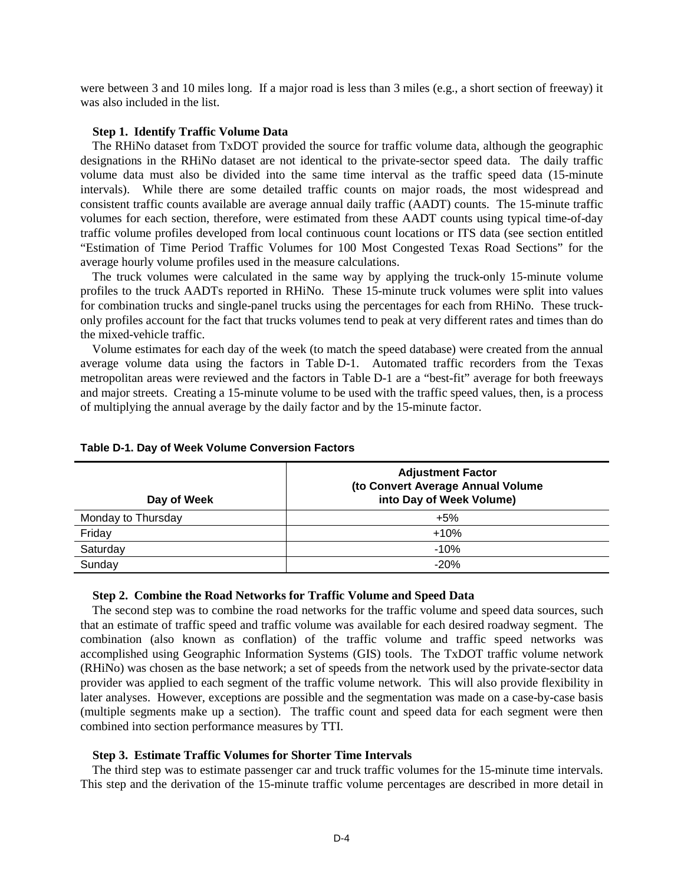were between 3 and 10 miles long. If a major road is less than 3 miles (e.g., a short section of freeway) it was also included in the list.

#### **Step 1. Identify Traffic Volume Data**

The RHiNo dataset from TxDOT provided the source for traffic volume data, although the geographic designations in the RHiNo dataset are not identical to the private-sector speed data. The daily traffic volume data must also be divided into the same time interval as the traffic speed data (15-minute intervals). While there are some detailed traffic counts on major roads, the most widespread and consistent traffic counts available are average annual daily traffic (AADT) counts. The 15-minute traffic volumes for each section, therefore, were estimated from these AADT counts using typical time-of-day traffic volume profiles developed from local continuous count locations or ITS data (see section entitled "Estimation of Time Period Traffic Volumes for 100 Most Congested Texas Road Sections" for the average hourly volume profiles used in the measure calculations.

The truck volumes were calculated in the same way by applying the truck-only 15-minute volume profiles to the truck AADTs reported in RHiNo. These 15-minute truck volumes were split into values for combination trucks and single-panel trucks using the percentages for each from RHiNo. These truckonly profiles account for the fact that trucks volumes tend to peak at very different rates and times than do the mixed-vehicle traffic.

Volume estimates for each day of the week (to match the speed database) were created from the annual average volume data using the factors in Table D-1. Automated traffic recorders from the Texas metropolitan areas were reviewed and the factors in Table D-1 are a "best-fit" average for both freeways and major streets. Creating a 15-minute volume to be used with the traffic speed values, then, is a process of multiplying the annual average by the daily factor and by the 15-minute factor.

|  |  |  |  | Table D-1. Day of Week Volume Conversion Factors |  |
|--|--|--|--|--------------------------------------------------|--|
|--|--|--|--|--------------------------------------------------|--|

| Day of Week        | <b>Adjustment Factor</b><br>(to Convert Average Annual Volume<br>into Day of Week Volume) |
|--------------------|-------------------------------------------------------------------------------------------|
| Monday to Thursday | $+5%$                                                                                     |
| Friday             | $+10%$                                                                                    |
| Saturday           | $-10%$                                                                                    |
| Sunday             | $-20%$                                                                                    |

#### **Step 2. Combine the Road Networks for Traffic Volume and Speed Data**

The second step was to combine the road networks for the traffic volume and speed data sources, such that an estimate of traffic speed and traffic volume was available for each desired roadway segment. The combination (also known as conflation) of the traffic volume and traffic speed networks was accomplished using Geographic Information Systems (GIS) tools. The TxDOT traffic volume network (RHiNo) was chosen as the base network; a set of speeds from the network used by the private-sector data provider was applied to each segment of the traffic volume network. This will also provide flexibility in later analyses. However, exceptions are possible and the segmentation was made on a case-by-case basis (multiple segments make up a section). The traffic count and speed data for each segment were then combined into section performance measures by TTI.

#### **Step 3. Estimate Traffic Volumes for Shorter Time Intervals**

The third step was to estimate passenger car and truck traffic volumes for the 15-minute time intervals. This step and the derivation of the 15-minute traffic volume percentages are described in more detail in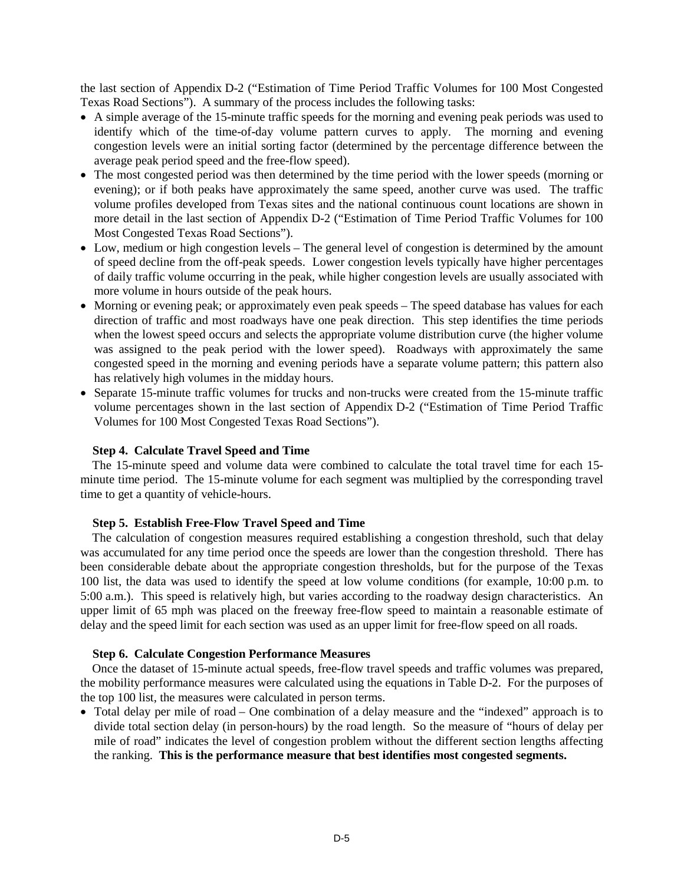the last section of Appendix D-2 ("Estimation of Time Period Traffic Volumes for 100 Most Congested Texas Road Sections"). A summary of the process includes the following tasks:

- A simple average of the 15-minute traffic speeds for the morning and evening peak periods was used to identify which of the time-of-day volume pattern curves to apply. The morning and evening congestion levels were an initial sorting factor (determined by the percentage difference between the average peak period speed and the free-flow speed).
- The most congested period was then determined by the time period with the lower speeds (morning or evening); or if both peaks have approximately the same speed, another curve was used. The traffic volume profiles developed from Texas sites and the national continuous count locations are shown in more detail in the last section of Appendix D-2 ("Estimation of Time Period Traffic Volumes for 100 Most Congested Texas Road Sections").
- Low, medium or high congestion levels The general level of congestion is determined by the amount of speed decline from the off-peak speeds. Lower congestion levels typically have higher percentages of daily traffic volume occurring in the peak, while higher congestion levels are usually associated with more volume in hours outside of the peak hours.
- Morning or evening peak; or approximately even peak speeds The speed database has values for each direction of traffic and most roadways have one peak direction. This step identifies the time periods when the lowest speed occurs and selects the appropriate volume distribution curve (the higher volume was assigned to the peak period with the lower speed). Roadways with approximately the same congested speed in the morning and evening periods have a separate volume pattern; this pattern also has relatively high volumes in the midday hours.
- Separate 15-minute traffic volumes for trucks and non-trucks were created from the 15-minute traffic volume percentages shown in the last section of Appendix D-2 ("Estimation of Time Period Traffic Volumes for 100 Most Congested Texas Road Sections").

#### **Step 4. Calculate Travel Speed and Time**

The 15-minute speed and volume data were combined to calculate the total travel time for each 15 minute time period. The 15-minute volume for each segment was multiplied by the corresponding travel time to get a quantity of vehicle-hours.

#### **Step 5. Establish Free-Flow Travel Speed and Time**

The calculation of congestion measures required establishing a congestion threshold, such that delay was accumulated for any time period once the speeds are lower than the congestion threshold. There has been considerable debate about the appropriate congestion thresholds, but for the purpose of the Texas 100 list, the data was used to identify the speed at low volume conditions (for example, 10:00 p.m. to 5:00 a.m.). This speed is relatively high, but varies according to the roadway design characteristics. An upper limit of 65 mph was placed on the freeway free-flow speed to maintain a reasonable estimate of delay and the speed limit for each section was used as an upper limit for free-flow speed on all roads.

#### **Step 6. Calculate Congestion Performance Measures**

Once the dataset of 15-minute actual speeds, free-flow travel speeds and traffic volumes was prepared, the mobility performance measures were calculated using the equations in Table D-2. For the purposes of the top 100 list, the measures were calculated in person terms.

• Total delay per mile of road – One combination of a delay measure and the "indexed" approach is to divide total section delay (in person-hours) by the road length. So the measure of "hours of delay per mile of road" indicates the level of congestion problem without the different section lengths affecting the ranking. **This is the performance measure that best identifies most congested segments.**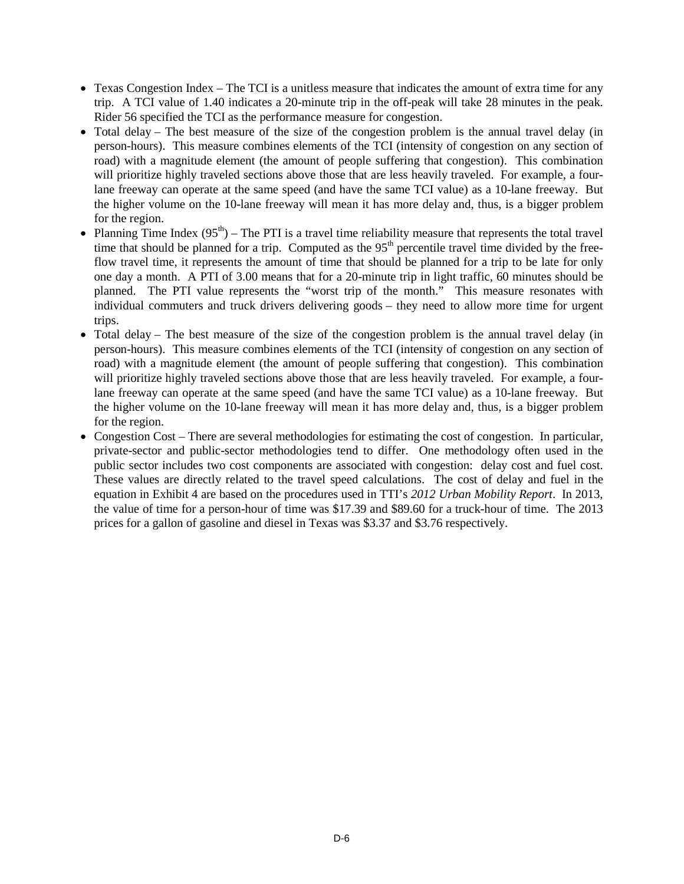- Texas Congestion Index The TCI is a unitless measure that indicates the amount of extra time for any trip. A TCI value of 1.40 indicates a 20-minute trip in the off-peak will take 28 minutes in the peak. Rider 56 specified the TCI as the performance measure for congestion.
- Total delay The best measure of the size of the congestion problem is the annual travel delay (in person-hours). This measure combines elements of the TCI (intensity of congestion on any section of road) with a magnitude element (the amount of people suffering that congestion). This combination will prioritize highly traveled sections above those that are less heavily traveled. For example, a fourlane freeway can operate at the same speed (and have the same TCI value) as a 10-lane freeway. But the higher volume on the 10-lane freeway will mean it has more delay and, thus, is a bigger problem for the region.
- Planning Time Index  $(95<sup>th</sup>)$  The PTI is a travel time reliability measure that represents the total travel time that should be planned for a trip. Computed as the 95<sup>th</sup> percentile travel time divided by the freeflow travel time, it represents the amount of time that should be planned for a trip to be late for only one day a month. A PTI of 3.00 means that for a 20-minute trip in light traffic, 60 minutes should be planned. The PTI value represents the "worst trip of the month." This measure resonates with individual commuters and truck drivers delivering goods – they need to allow more time for urgent trips.
- Total delay The best measure of the size of the congestion problem is the annual travel delay (in person-hours). This measure combines elements of the TCI (intensity of congestion on any section of road) with a magnitude element (the amount of people suffering that congestion). This combination will prioritize highly traveled sections above those that are less heavily traveled. For example, a fourlane freeway can operate at the same speed (and have the same TCI value) as a 10-lane freeway. But the higher volume on the 10-lane freeway will mean it has more delay and, thus, is a bigger problem for the region.
- Congestion Cost There are several methodologies for estimating the cost of congestion. In particular, private-sector and public-sector methodologies tend to differ. One methodology often used in the public sector includes two cost components are associated with congestion: delay cost and fuel cost. These values are directly related to the travel speed calculations. The cost of delay and fuel in the equation in Exhibit 4 are based on the procedures used in TTI's *2012 Urban Mobility Report*. In 2013, the value of time for a person-hour of time was \$17.39 and \$89.60 for a truck-hour of time. The 2013 prices for a gallon of gasoline and diesel in Texas was \$3.37 and \$3.76 respectively.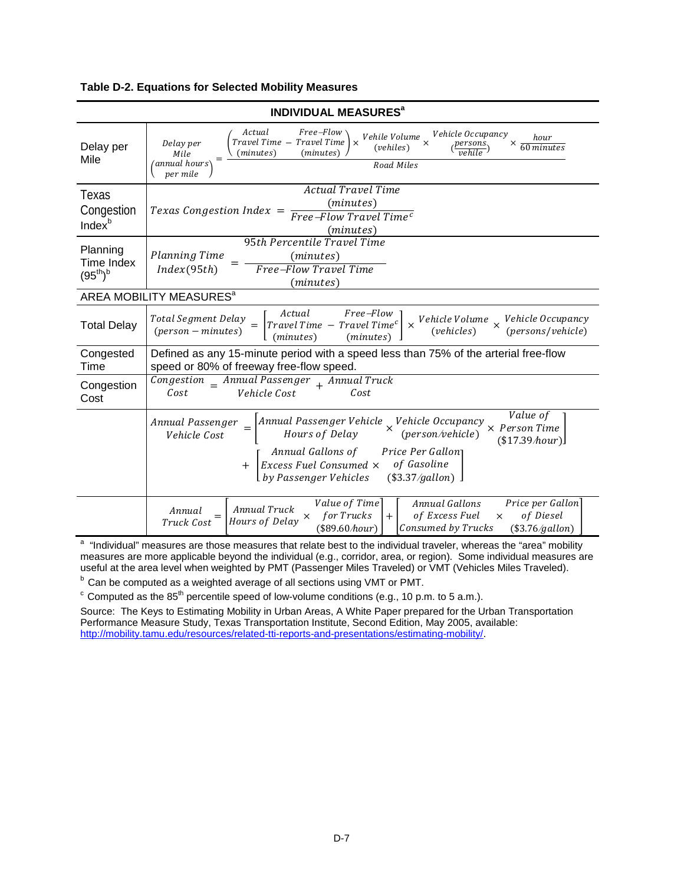#### **Table D-2. Equations for Selected Mobility Measures**

| <b>INDIVIDUAL MEASURES<sup>a</sup></b>    |                                                                                                                                                                                                                                                                                                                                           |  |  |  |
|-------------------------------------------|-------------------------------------------------------------------------------------------------------------------------------------------------------------------------------------------------------------------------------------------------------------------------------------------------------------------------------------------|--|--|--|
| Delay per<br>Mile                         | Free-Flow<br>Actual<br>Vehicle Occupancy<br>Vehile Volume $_{\times}$<br>hour<br>Travel Time - Travel Time<br>Delay per<br>$\times$<br>×<br>(vehiles)<br>60 minutes<br>(minutes)<br>(minutes)<br>Mile<br>annual hours<br>Road Miles<br>per mile                                                                                           |  |  |  |
| Texas<br>Congestion<br>Index <sup>b</sup> | Actual Travel Time<br>(minutes)<br>Texas Congestion Index $=$<br>Free-Flow Travel Time <sup>c</sup><br>(minutes)                                                                                                                                                                                                                          |  |  |  |
| Planning<br>Time Index<br>$(95^{th})^{b}$ | 95th Percentile Travel Time<br><b>Planning Time</b><br>(minutes)<br>Free-Flow Travel Time<br>Index(95th)<br>(minutes)                                                                                                                                                                                                                     |  |  |  |
|                                           | AREA MOBILITY MEASURES <sup>a</sup>                                                                                                                                                                                                                                                                                                       |  |  |  |
| <b>Total Delay</b>                        | Free-Flow<br>Actual<br>Total Segment Delay<br>Vehicle Volume Vehicle Occupancy<br>$\int$ Travel Time - Travel Time <sup>c</sup><br>$\times$<br>$=$<br>(vehicles)<br>(persons/vehicle)<br>$(person - minutes)$<br>(minutes)<br>(minutes)                                                                                                   |  |  |  |
| Congested<br>Time                         | Defined as any 15-minute period with a speed less than 75% of the arterial free-flow<br>speed or 80% of freeway free-flow speed.                                                                                                                                                                                                          |  |  |  |
| Congestion<br>Cost                        | $Congestion$ _ Annual Passenger $_{+}$ Annual Truck<br>Vehicle Cost<br>Cost<br>Cost                                                                                                                                                                                                                                                       |  |  |  |
|                                           | Value of<br>Annual Passenger Vehicle $\times$ Vehicle Occupancy<br>Hours of Delay $\times$ (person/vehicle)<br>Annual Passenger<br>$\times$ Person Time<br>Vehicle Cost<br>$(\$17.39\text{}/hour)$<br>Annual Gallons of<br>Price Per Gallon<br>of Gasoline<br>Excess Fuel Consumed ×<br>$+$<br>by Passenger Vehicles<br>$(\$3.37/gallon)$ |  |  |  |
|                                           | Value of Time<br>Price per Gallon<br>Annual Gallons<br>Annual Truck<br>Annual<br>for Trucks<br>of Excess Fuel<br>of Diesel<br>$+$<br>$\times$<br>×<br>Hours of Delay<br>Truck Cost<br>(\$89.60/hour)<br>Consumed by Trucks<br>$(\$3.76/gallon)$                                                                                           |  |  |  |

<sup>a</sup> "Individual" measures are those measures that relate best to the individual traveler, whereas the "area" mobility matures are more applicable beyond the individual (e.g., corridor, area, or region). Some individual measures are useful at the area level when weighted by PMT (Passenger Miles Traveled) or VMT (Vehicles Miles Traveled).

 $<sup>b</sup>$  Can be computed as a weighted average of all sections using VMT or PMT.</sup>

 $\text{c}$  Computed as the 85<sup>th</sup> percentile speed of low-volume conditions (e.g., 10 p.m. to 5 a.m.).

Source: The Keys to Estimating Mobility in Urban Areas, A White Paper prepared for the Urban Transportation Performance Measure Study, Texas Transportation Institute, Second Edition, May 2005, available: [http://mobility.tamu.edu/resources/related-tti-reports-and-presentations/estimating-mobility/.](http://mobility.tamu.edu/resources/related-tti-reports-and-presentations/estimating-mobility/)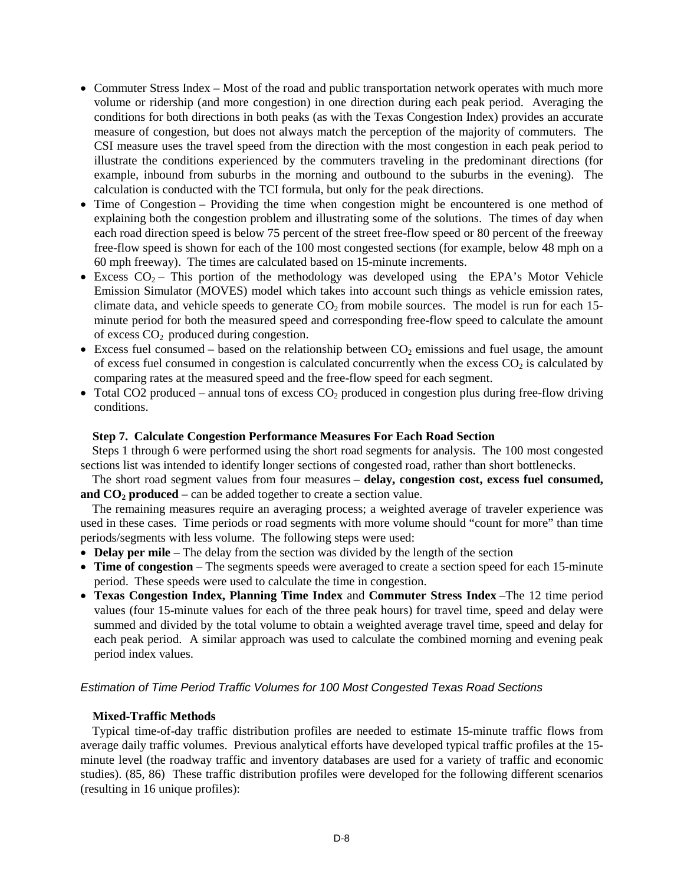- Commuter Stress Index Most of the road and public transportation network operates with much more volume or ridership (and more congestion) in one direction during each peak period. Averaging the conditions for both directions in both peaks (as with the Texas Congestion Index) provides an accurate measure of congestion, but does not always match the perception of the majority of commuters. The CSI measure uses the travel speed from the direction with the most congestion in each peak period to illustrate the conditions experienced by the commuters traveling in the predominant directions (for example, inbound from suburbs in the morning and outbound to the suburbs in the evening). The calculation is conducted with the TCI formula, but only for the peak directions.
- Time of Congestion Providing the time when congestion might be encountered is one method of explaining both the congestion problem and illustrating some of the solutions. The times of day when each road direction speed is below 75 percent of the street free-flow speed or 80 percent of the freeway free-flow speed is shown for each of the 100 most congested sections (for example, below 48 mph on a 60 mph freeway). The times are calculated based on 15-minute increments.
- Excess  $CO_2$  This portion of the methodology was developed using the EPA's Motor Vehicle Emission Simulator (MOVES) model which takes into account such things as vehicle emission rates, climate data, and vehicle speeds to generate  $CO<sub>2</sub>$  from mobile sources. The model is run for each 15minute period for both the measured speed and corresponding free-flow speed to calculate the amount of excess  $CO<sub>2</sub>$  produced during congestion.
- Excess fuel consumed based on the relationship between  $CO_2$  emissions and fuel usage, the amount of excess fuel consumed in congestion is calculated concurrently when the excess  $CO<sub>2</sub>$  is calculated by comparing rates at the measured speed and the free-flow speed for each segment.
- Total CO2 produced annual tons of excess  $CO<sub>2</sub>$  produced in congestion plus during free-flow driving conditions.

#### **Step 7. Calculate Congestion Performance Measures For Each Road Section**

Steps 1 through 6 were performed using the short road segments for analysis. The 100 most congested sections list was intended to identify longer sections of congested road, rather than short bottlenecks.

The short road segment values from four measures – **delay, congestion cost, excess fuel consumed, and**  $CO<sub>2</sub>$  **<b>produced** – can be added together to create a section value.

The remaining measures require an averaging process; a weighted average of traveler experience was used in these cases. Time periods or road segments with more volume should "count for more" than time periods/segments with less volume. The following steps were used:

- **Delay per mile** The delay from the section was divided by the length of the section
- **Time of congestion** The segments speeds were averaged to create a section speed for each 15-minute period. These speeds were used to calculate the time in congestion.
- **Texas Congestion Index, Planning Time Index** and **Commuter Stress Index** –The 12 time period values (four 15-minute values for each of the three peak hours) for travel time, speed and delay were summed and divided by the total volume to obtain a weighted average travel time, speed and delay for each peak period. A similar approach was used to calculate the combined morning and evening peak period index values.

## *Estimation of Time Period Traffic Volumes for 100 Most Congested Texas Road Sections*

#### **Mixed-Traffic Methods**

Typical time-of-day traffic distribution profiles are needed to estimate 15-minute traffic flows from average daily traffic volumes. Previous analytical efforts have developed typical traffic profiles at the 15 minute level (the roadway traffic and inventory databases are used for a variety of traffic and economic studies). (85, 86) These traffic distribution profiles were developed for the following different scenarios (resulting in 16 unique profiles):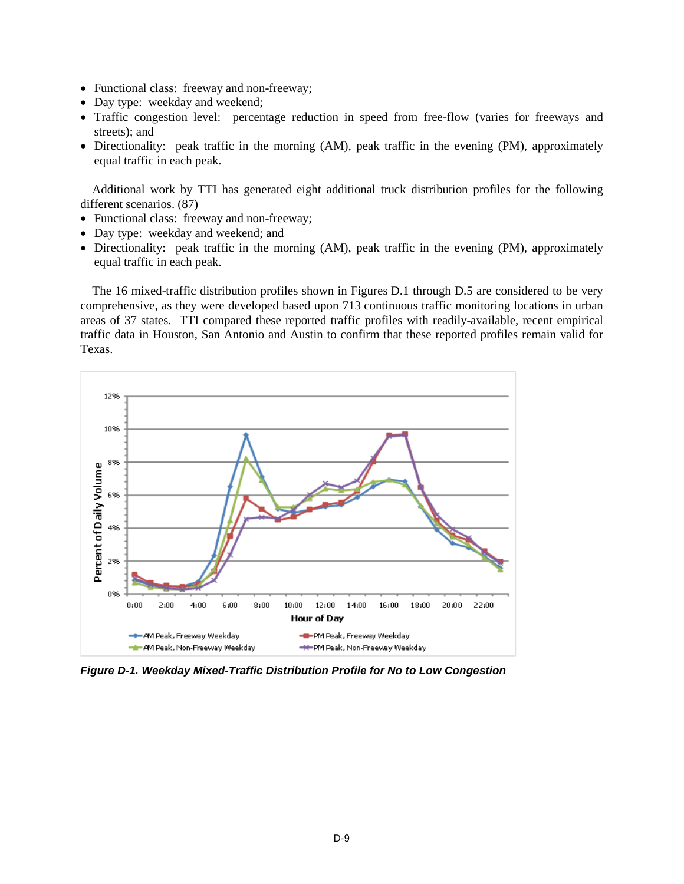- Functional class: freeway and non-freeway;
- Day type: weekday and weekend;
- Traffic congestion level: percentage reduction in speed from free-flow (varies for freeways and streets); and
- Directionality: peak traffic in the morning (AM), peak traffic in the evening (PM), approximately equal traffic in each peak.

Additional work by TTI has generated eight additional truck distribution profiles for the following different scenarios. (87)

- Functional class: freeway and non-freeway;
- Day type: weekday and weekend; and
- Directionality: peak traffic in the morning (AM), peak traffic in the evening (PM), approximately equal traffic in each peak.

The 16 mixed-traffic distribution profiles shown in Figures D.1 through D.5 are considered to be very comprehensive, as they were developed based upon 713 continuous traffic monitoring locations in urban areas of 37 states. TTI compared these reported traffic profiles with readily-available, recent empirical traffic data in Houston, San Antonio and Austin to confirm that these reported profiles remain valid for Texas.



*Figure D-1. Weekday Mixed-Traffic Distribution Profile for No to Low Congestion*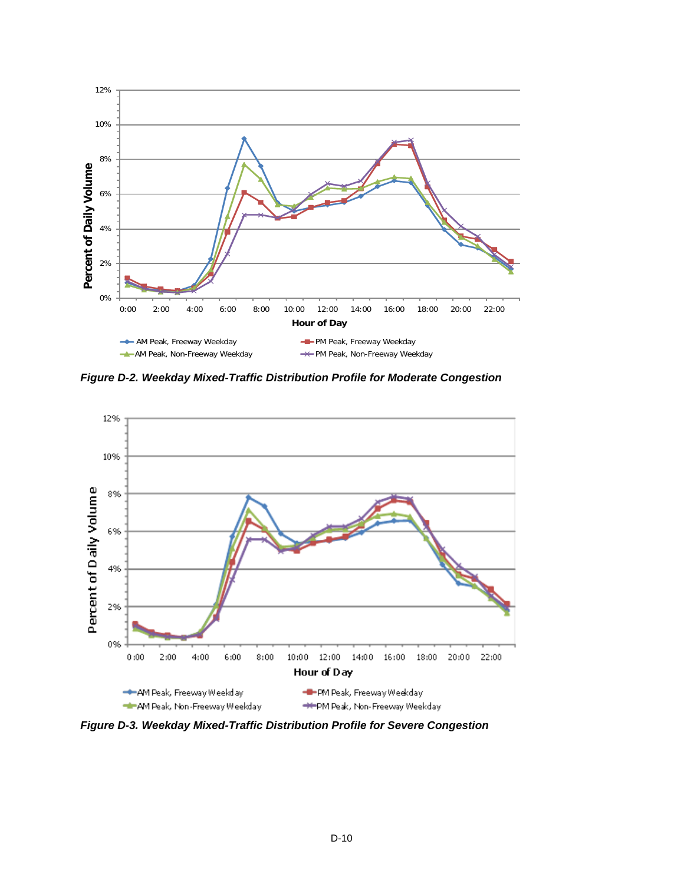

*Figure D-2. Weekday Mixed-Traffic Distribution Profile for Moderate Congestion*



*Figure D-3. Weekday Mixed-Traffic Distribution Profile for Severe Congestion*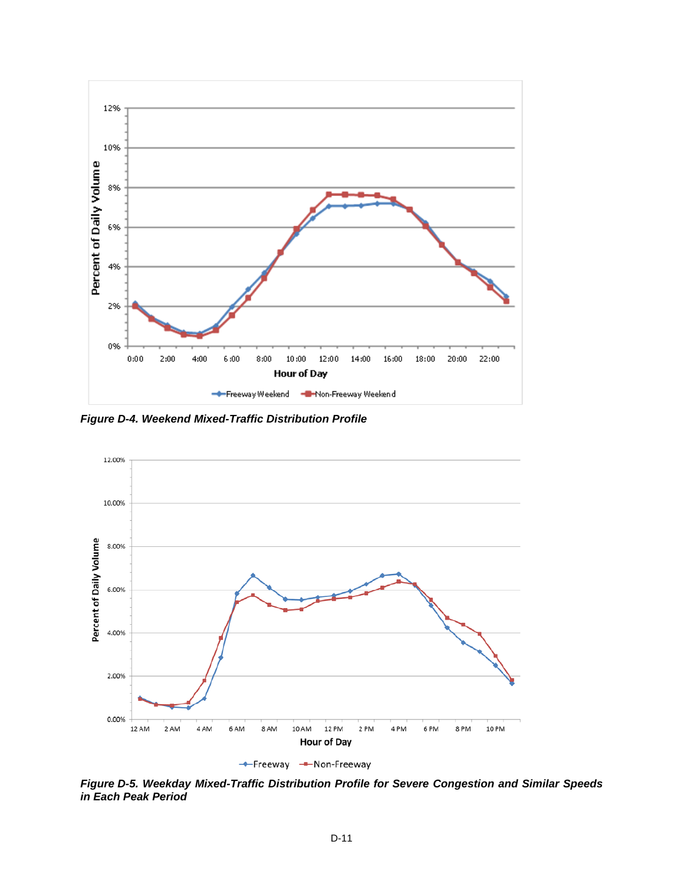

*Figure D-4. Weekend Mixed-Traffic Distribution Profile*



*Figure D-5. Weekday Mixed-Traffic Distribution Profile for Severe Congestion and Similar Speeds in Each Peak Period*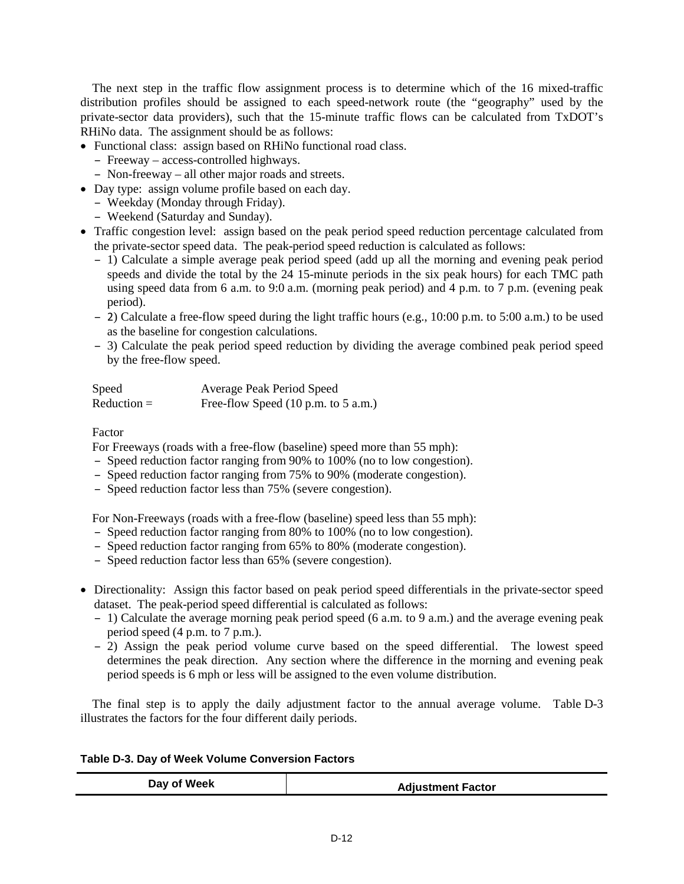The next step in the traffic flow assignment process is to determine which of the 16 mixed-traffic distribution profiles should be assigned to each speed-network route (the "geography" used by the private-sector data providers), such that the 15-minute traffic flows can be calculated from TxDOT's RHiNo data. The assignment should be as follows:

• Functional class: assign based on RHiNo functional road class.

- Freeway access-controlled highways.
- Non-freeway all other major roads and streets.
- Day type: assign volume profile based on each day.
	- Weekday (Monday through Friday).
	- Weekend (Saturday and Sunday).
- Traffic congestion level: assign based on the peak period speed reduction percentage calculated from the private-sector speed data. The peak-period speed reduction is calculated as follows:
	- 1) Calculate a simple average peak period speed (add up all the morning and evening peak period speeds and divide the total by the 24 15-minute periods in the six peak hours) for each TMC path using speed data from 6 a.m. to 9:0 a.m. (morning peak period) and 4 p.m. to 7 p.m. (evening peak period).
	- 2) Calculate a free-flow speed during the light traffic hours (e.g., 10:00 p.m. to 5:00 a.m.) to be used as the baseline for congestion calculations.
	- 3) Calculate the peak period speed reduction by dividing the average combined peak period speed by the free-flow speed.

| Speed         | Average Peak Period Speed                              |
|---------------|--------------------------------------------------------|
| $Reduction =$ | Free-flow Speed $(10 \text{ p.m. to } 5 \text{ a.m.})$ |

## Factor

For Freeways (roads with a free-flow (baseline) speed more than 55 mph):

- Speed reduction factor ranging from 90% to 100% (no to low congestion).
- Speed reduction factor ranging from 75% to 90% (moderate congestion).
- Speed reduction factor less than 75% (severe congestion).

For Non-Freeways (roads with a free-flow (baseline) speed less than 55 mph):

- Speed reduction factor ranging from 80% to 100% (no to low congestion).
- Speed reduction factor ranging from 65% to 80% (moderate congestion).
- Speed reduction factor less than 65% (severe congestion).
- Directionality: Assign this factor based on peak period speed differentials in the private-sector speed dataset. The peak-period speed differential is calculated as follows:
	- 1) Calculate the average morning peak period speed (6 a.m. to 9 a.m.) and the average evening peak period speed (4 p.m. to 7 p.m.).
	- 2) Assign the peak period volume curve based on the speed differential. The lowest speed determines the peak direction. Any section where the difference in the morning and evening peak period speeds is 6 mph or less will be assigned to the even volume distribution.

The final step is to apply the daily adjustment factor to the annual average volume. Table D-3 illustrates the factors for the four different daily periods.

|  |  |  |  | Table D-3. Day of Week Volume Conversion Factors |  |
|--|--|--|--|--------------------------------------------------|--|
|--|--|--|--|--------------------------------------------------|--|

| Day of Week | <b>Adjustment Factor</b> |
|-------------|--------------------------|
|-------------|--------------------------|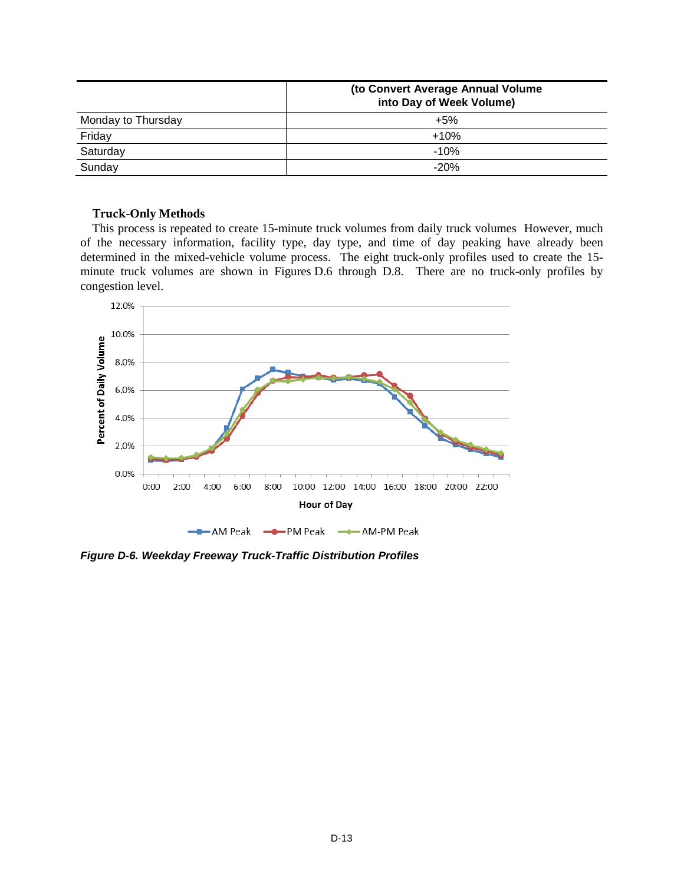|                    | (to Convert Average Annual Volume<br>into Day of Week Volume) |  |
|--------------------|---------------------------------------------------------------|--|
| Monday to Thursday | +5%                                                           |  |
| Friday             | $+10%$                                                        |  |
| Saturday           | $-10%$                                                        |  |
| Sunday             | $-20%$                                                        |  |

#### **Truck-Only Methods**

This process is repeated to create 15-minute truck volumes from daily truck volumes However, much of the necessary information, facility type, day type, and time of day peaking have already been determined in the mixed-vehicle volume process. The eight truck-only profiles used to create the 15 minute truck volumes are shown in Figures D.6 through D.8. There are no truck-only profiles by congestion level.



*Figure D-6. Weekday Freeway Truck-Traffic Distribution Profiles*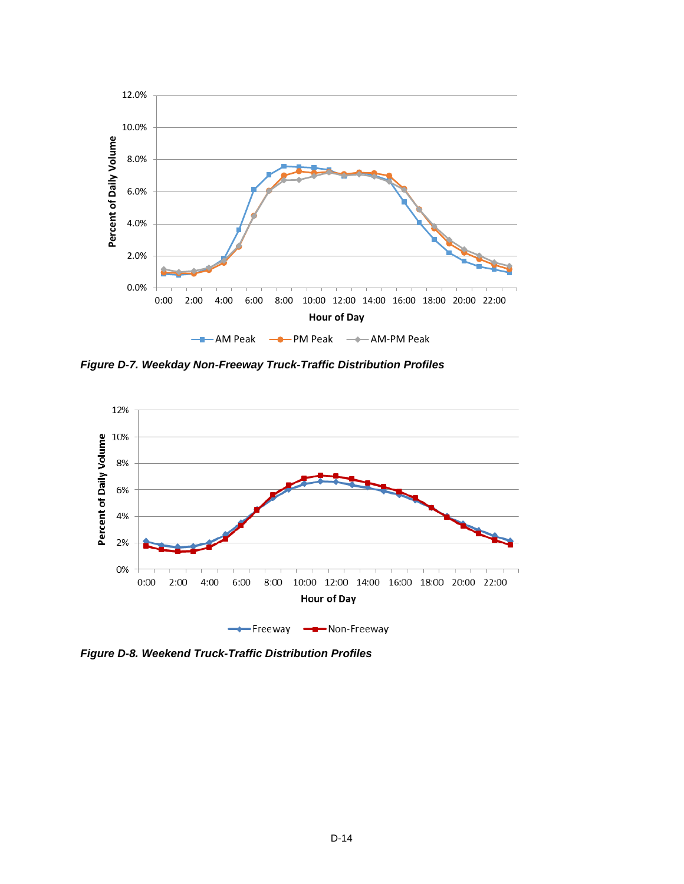

*Figure D-7. Weekday Non-Freeway Truck-Traffic Distribution Profiles*



*Figure D-8. Weekend Truck-Traffic Distribution Profiles*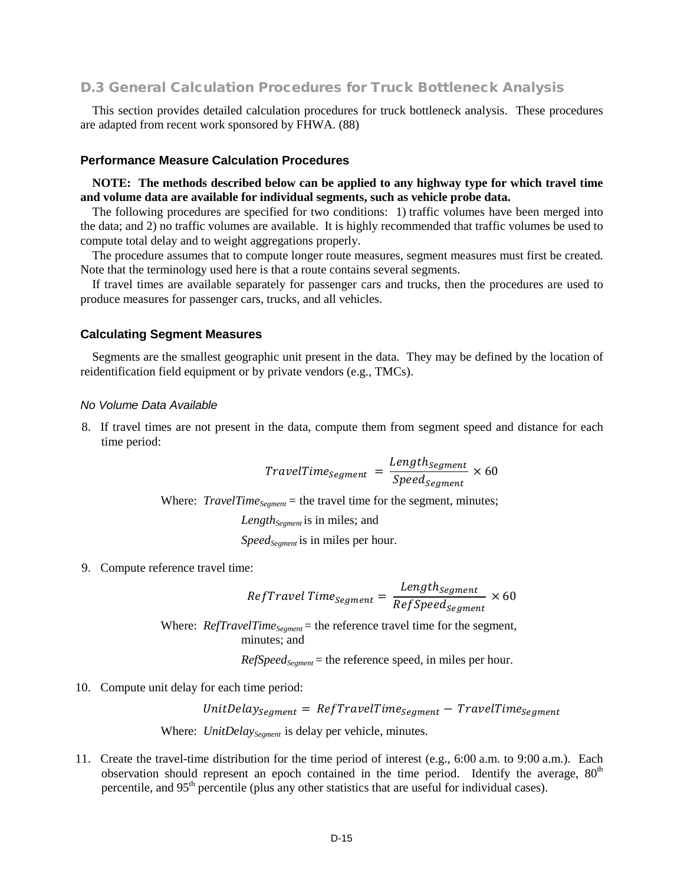## D.3 General Calculation Procedures for Truck Bottleneck Analysis

This section provides detailed calculation procedures for truck bottleneck analysis. These procedures are adapted from recent work sponsored by FHWA. (88)

#### **Performance Measure Calculation Procedures**

**NOTE: The methods described below can be applied to any highway type for which travel time and volume data are available for individual segments, such as vehicle probe data.**

The following procedures are specified for two conditions: 1) traffic volumes have been merged into the data; and 2) no traffic volumes are available. It is highly recommended that traffic volumes be used to compute total delay and to weight aggregations properly.

The procedure assumes that to compute longer route measures, segment measures must first be created. Note that the terminology used here is that a route contains several segments.

If travel times are available separately for passenger cars and trucks, then the procedures are used to produce measures for passenger cars, trucks, and all vehicles.

#### **Calculating Segment Measures**

Segments are the smallest geographic unit present in the data. They may be defined by the location of reidentification field equipment or by private vendors (e.g., TMCs).

#### *No Volume Data Available*

8. If travel times are not present in the data, compute them from segment speed and distance for each time period:

$$
TravelTime_{Segment} = \frac{Length_{Segment}}{Speed_{segment}} \times 60
$$

Where:  $TravelTime_{Segment}$  = the travel time for the segment, minutes;

Length<sub>Segment</sub> is in miles; and

*Speed<sub>Segment</sub>* is in miles per hour.

9. Compute reference travel time:

$$
RefTravel\ Time_{segment} = \frac{Length_{segment}}{RefSpeed_{segment}} \times 60
$$

Where: *RefTravelTime<sub>Segment</sub>* = the reference travel time for the segment, minutes; and

*RefSpeed<sub>Segment</sub>* = the reference speed, in miles per hour.

10. Compute unit delay for each time period:

 $UnitDelay_{segment} = RefTravelTime_{segment} - TravelTime_{segment}$ 

Where: *UnitDelay<sub>Segment</sub>* is delay per vehicle, minutes.

11. Create the travel-time distribution for the time period of interest (e.g., 6:00 a.m. to 9:00 a.m.). Each observation should represent an epoch contained in the time period. Identify the average,  $80<sup>th</sup>$ percentile, and 95<sup>th</sup> percentile (plus any other statistics that are useful for individual cases).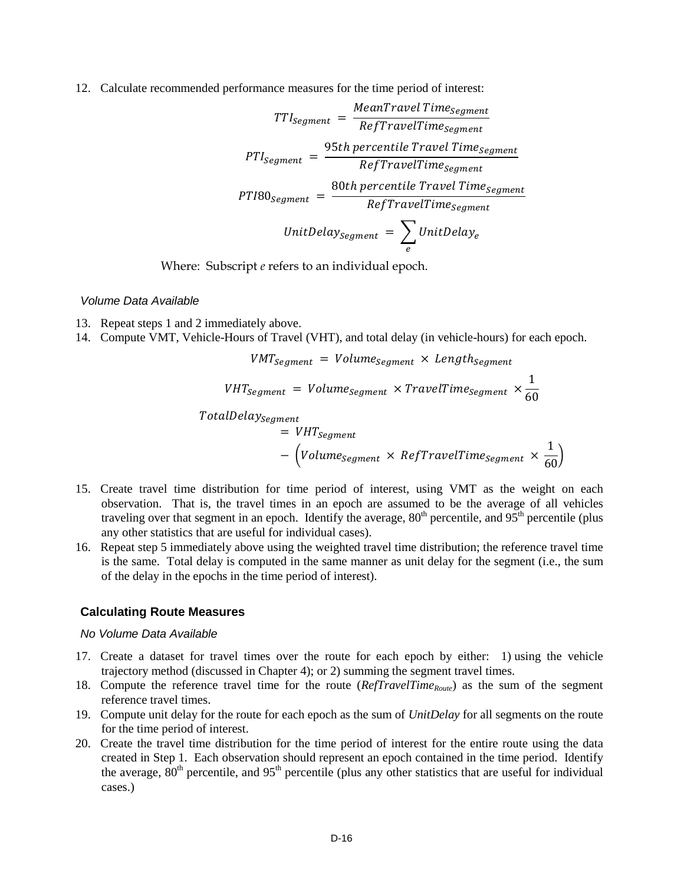12. Calculate recommended performance measures for the time period of interest:

$$
TTI_{segment} = \frac{MeanTravelTime_{segment}}{RefTravelTime_{segment}}
$$
\n
$$
PTI_{segment} = \frac{95th\,percentile\,True_{segment}}{RefTravelTime_{segment}}
$$
\n
$$
PTI80_{segment} = \frac{80th\,percentile\,True}{RefTravelTime_{segment}}
$$
\n
$$
UnitDelay_{segment} = \sum_{e} UnitDelay_{e}
$$

Where: Subscript *e* refers to an individual epoch.

#### *Volume Data Available*

- 13. Repeat steps 1 and 2 immediately above.
- 14. Compute VMT, Vehicle-Hours of Travel (VHT), and total delay (in vehicle-hours) for each epoch.

$$
VMT_{Segment} = Volume_{segment} \times Length_{segment}
$$

$$
VHT_{segment} = Volume_{segment} \times TravelTime_{segment} \times \frac{1}{60}
$$

 $TotalDelay_{Segment}$ 

$$
= VHT_{Segment}
$$
  
-  $(Volume_{segment} \times RefTravelTime_{segment} \times \frac{1}{60})$ 

- 15. Create travel time distribution for time period of interest, using VMT as the weight on each observation. That is, the travel times in an epoch are assumed to be the average of all vehicles traveling over that segment in an epoch. Identify the average,  $80<sup>th</sup>$  percentile, and  $95<sup>th</sup>$  percentile (plus any other statistics that are useful for individual cases).
- 16. Repeat step 5 immediately above using the weighted travel time distribution; the reference travel time is the same. Total delay is computed in the same manner as unit delay for the segment (i.e., the sum of the delay in the epochs in the time period of interest).

#### **Calculating Route Measures**

#### *No Volume Data Available*

- 17. Create a dataset for travel times over the route for each epoch by either: 1) using the vehicle trajectory method (discussed in Chapter 4); or 2) summing the segment travel times.
- 18. Compute the reference travel time for the route (*RefTravelTime<sub>Route</sub>*) as the sum of the segment reference travel times.
- 19. Compute unit delay for the route for each epoch as the sum of *UnitDelay* for all segments on the route for the time period of interest.
- 20. Create the travel time distribution for the time period of interest for the entire route using the data created in Step 1. Each observation should represent an epoch contained in the time period. Identify the average,  $80<sup>th</sup>$  percentile, and  $95<sup>th</sup>$  percentile (plus any other statistics that are useful for individual cases.)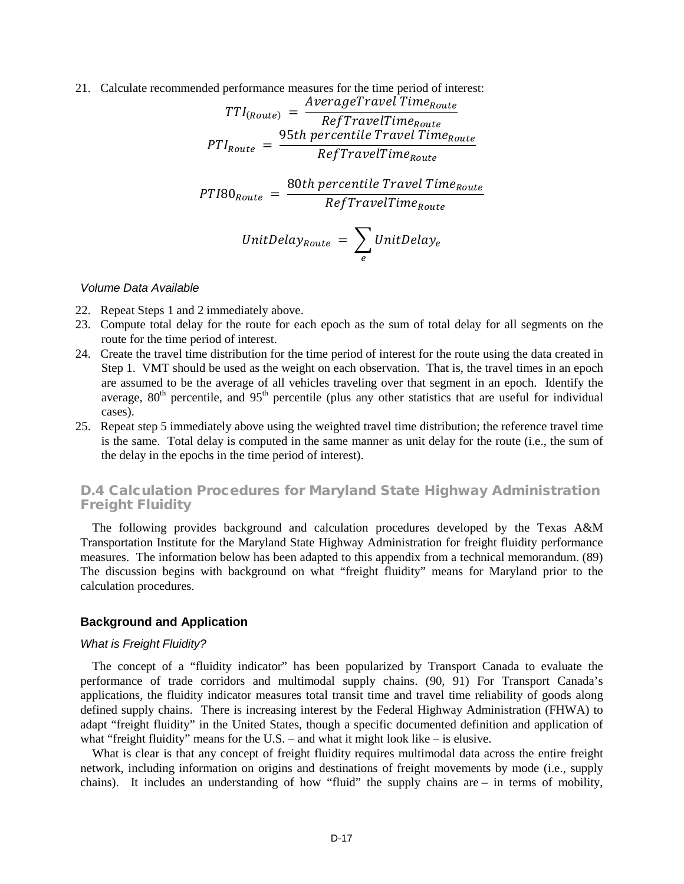21. Calculate recommended performance measures for the time period of interest:

$$
TTI_{(Route)} = \frac{AverageTravelTime_{Route}}{RefTravelTime_{Route}}
$$
\n
$$
PTI_{Route} = \frac{95th percentile TravelTime_{Route}}{RefTravelTime_{Route}}
$$
\n
$$
PTI80_{Route} = \frac{80th percentile TravelTime_{Route}}{RefTravelTime_{Route}}
$$
\n
$$
UnitDelay_{Route} = \sum_{e} UnitDelay_{e}
$$

#### *Volume Data Available*

- 22. Repeat Steps 1 and 2 immediately above.
- 23. Compute total delay for the route for each epoch as the sum of total delay for all segments on the route for the time period of interest.
- 24. Create the travel time distribution for the time period of interest for the route using the data created in Step 1. VMT should be used as the weight on each observation. That is, the travel times in an epoch are assumed to be the average of all vehicles traveling over that segment in an epoch. Identify the average,  $80<sup>th</sup>$  percentile, and  $95<sup>th</sup>$  percentile (plus any other statistics that are useful for individual cases).
- 25. Repeat step 5 immediately above using the weighted travel time distribution; the reference travel time is the same. Total delay is computed in the same manner as unit delay for the route (i.e., the sum of the delay in the epochs in the time period of interest).

## D.4 Calculation Procedures for Maryland State Highway Administration Freight Fluidity

The following provides background and calculation procedures developed by the Texas A&M Transportation Institute for the Maryland State Highway Administration for freight fluidity performance measures. The information below has been adapted to this appendix from a technical memorandum. (89) The discussion begins with background on what "freight fluidity" means for Maryland prior to the calculation procedures.

## **Background and Application**

#### *What is Freight Fluidity?*

The concept of a "fluidity indicator" has been popularized by Transport Canada to evaluate the performance of trade corridors and multimodal supply chains. (90, 91) For Transport Canada's applications, the fluidity indicator measures total transit time and travel time reliability of goods along defined supply chains. There is increasing interest by the Federal Highway Administration (FHWA) to adapt "freight fluidity" in the United States, though a specific documented definition and application of what "freight fluidity" means for the U.S. – and what it might look like – is elusive.

What is clear is that any concept of freight fluidity requires multimodal data across the entire freight network, including information on origins and destinations of freight movements by mode (i.e., supply chains). It includes an understanding of how "fluid" the supply chains are – in terms of mobility,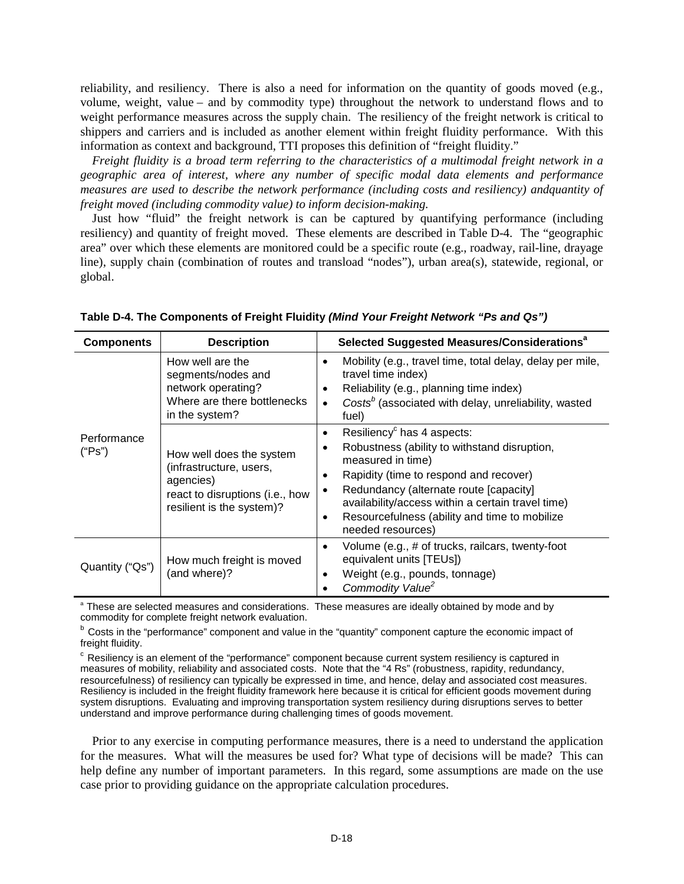reliability, and resiliency. There is also a need for information on the quantity of goods moved (e.g., volume, weight, value – and by commodity type) throughout the network to understand flows and to weight performance measures across the supply chain. The resiliency of the freight network is critical to shippers and carriers and is included as another element within freight fluidity performance. With this information as context and background, TTI proposes this definition of "freight fluidity."

*Freight fluidity is a broad term referring to the characteristics of a multimodal freight network in a geographic area of interest, where any number of specific modal data elements and performance measures are used to describe the network performance (including costs and resiliency) andquantity of freight moved (including commodity value) to inform decision-making.*

Just how "fluid" the freight network is can be captured by quantifying performance (including resiliency) and quantity of freight moved. These elements are described in Table D-4. The "geographic area" over which these elements are monitored could be a specific route (e.g., roadway, rail-line, drayage line), supply chain (combination of routes and transload "nodes"), urban area(s), statewide, regional, or global.

| <b>Components</b>     | <b>Description</b>                                                                                                               | Selected Suggested Measures/Considerations <sup>a</sup>                                                                                                                                                                                                                                                                                      |  |  |
|-----------------------|----------------------------------------------------------------------------------------------------------------------------------|----------------------------------------------------------------------------------------------------------------------------------------------------------------------------------------------------------------------------------------------------------------------------------------------------------------------------------------------|--|--|
|                       | How well are the<br>segments/nodes and<br>network operating?<br>Where are there bottlenecks<br>in the system?                    | Mobility (e.g., travel time, total delay, delay per mile,<br>٠<br>travel time index)<br>Reliability (e.g., planning time index)<br>Costs <sup>b</sup> (associated with delay, unreliability, wasted<br>fuel)                                                                                                                                 |  |  |
| Performance<br>("Ps") | How well does the system<br>(infrastructure, users,<br>agencies)<br>react to disruptions (i.e., how<br>resilient is the system)? | Resiliency <sup>c</sup> has 4 aspects:<br>$\bullet$<br>Robustness (ability to withstand disruption,<br>measured in time)<br>Rapidity (time to respond and recover)<br>Redundancy (alternate route [capacity]<br>availability/access within a certain travel time)<br>Resourcefulness (ability and time to mobilize<br>٠<br>needed resources) |  |  |
| Quantity ("Qs")       | How much freight is moved<br>(and where)?                                                                                        | Volume (e.g., # of trucks, railcars, twenty-foot<br>٠<br>equivalent units [TEUs])<br>Weight (e.g., pounds, tonnage)<br>٠<br>Commodity Value <sup>2</sup>                                                                                                                                                                                     |  |  |

**Table D-4. The Components of Freight Fluidity** *(Mind Your Freight Network "Ps and Qs")*

<sup>a</sup> These are selected measures and considerations. These measures are ideally obtained by mode and by commodity for complete freight network evaluation.

b Costs in the "performance" component and value in the "quantity" component capture the economic impact of freight fluidity.

 $\degree$  Resiliency is an element of the "performance" component because current system resiliency is captured in measures of mobility, reliability and associated costs. Note that the "4 Rs" (robustness, rapidity, redundancy, resourcefulness) of resiliency can typically be expressed in time, and hence, delay and associated cost measures. Resiliency is included in the freight fluidity framework here because it is critical for efficient goods movement during system disruptions. Evaluating and improving transportation system resiliency during disruptions serves to better understand and improve performance during challenging times of goods movement.

Prior to any exercise in computing performance measures, there is a need to understand the application for the measures. What will the measures be used for? What type of decisions will be made? This can help define any number of important parameters. In this regard, some assumptions are made on the use case prior to providing guidance on the appropriate calculation procedures.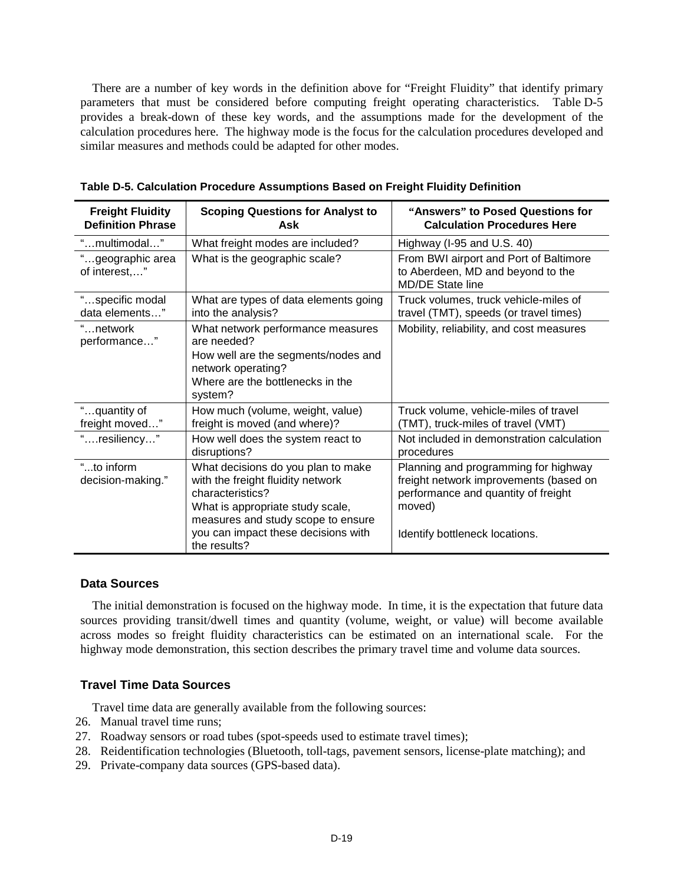There are a number of key words in the definition above for "Freight Fluidity" that identify primary parameters that must be considered before computing freight operating characteristics. Table D-5 provides a break-down of these key words, and the assumptions made for the development of the calculation procedures here. The highway mode is the focus for the calculation procedures developed and similar measures and methods could be adapted for other modes.

| <b>Freight Fluidity</b><br><b>Definition Phrase</b> | <b>Scoping Questions for Analyst to</b><br>Ask                                                                                                                                                                               | "Answers" to Posed Questions for<br><b>Calculation Procedures Here</b>                                                                                            |  |
|-----------------------------------------------------|------------------------------------------------------------------------------------------------------------------------------------------------------------------------------------------------------------------------------|-------------------------------------------------------------------------------------------------------------------------------------------------------------------|--|
| "multimodal"                                        | What freight modes are included?                                                                                                                                                                                             | Highway (I-95 and U.S. 40)                                                                                                                                        |  |
| "geographic area<br>of interest,"                   | What is the geographic scale?                                                                                                                                                                                                | From BWI airport and Port of Baltimore<br>to Aberdeen, MD and beyond to the<br>MD/DE State line                                                                   |  |
| "specific modal<br>data elements"                   | What are types of data elements going<br>into the analysis?                                                                                                                                                                  | Truck volumes, truck vehicle-miles of<br>travel (TMT), speeds (or travel times)                                                                                   |  |
| "network<br>performance"                            | What network performance measures<br>are needed?<br>How well are the segments/nodes and<br>network operating?<br>Where are the bottlenecks in the<br>system?                                                                 | Mobility, reliability, and cost measures                                                                                                                          |  |
| "quantity of<br>freight moved"                      | How much (volume, weight, value)<br>freight is moved (and where)?                                                                                                                                                            | Truck volume, vehicle-miles of travel<br>(TMT), truck-miles of travel (VMT)                                                                                       |  |
| "resiliency"                                        | How well does the system react to<br>disruptions?                                                                                                                                                                            | Not included in demonstration calculation<br>procedures                                                                                                           |  |
| "to inform<br>decision-making."                     | What decisions do you plan to make<br>with the freight fluidity network<br>characteristics?<br>What is appropriate study scale,<br>measures and study scope to ensure<br>you can impact these decisions with<br>the results? | Planning and programming for highway<br>freight network improvements (based on<br>performance and quantity of freight<br>moved)<br>Identify bottleneck locations. |  |

**Table D-5. Calculation Procedure Assumptions Based on Freight Fluidity Definition**

## **Data Sources**

The initial demonstration is focused on the highway mode. In time, it is the expectation that future data sources providing transit/dwell times and quantity (volume, weight, or value) will become available across modes so freight fluidity characteristics can be estimated on an international scale. For the highway mode demonstration, this section describes the primary travel time and volume data sources.

## **Travel Time Data Sources**

Travel time data are generally available from the following sources:

- 26. Manual travel time runs;
- 27. Roadway sensors or road tubes (spot-speeds used to estimate travel times);
- 28. Reidentification technologies (Bluetooth, toll-tags, pavement sensors, license-plate matching); and
- 29. Private-company data sources (GPS-based data).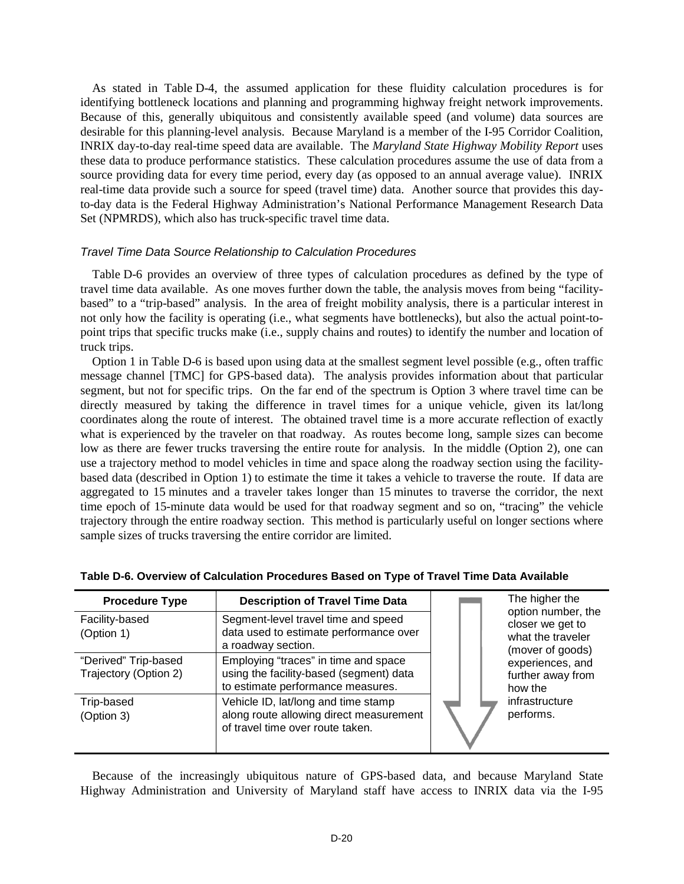As stated in Table D-4, the assumed application for these fluidity calculation procedures is for identifying bottleneck locations and planning and programming highway freight network improvements. Because of this, generally ubiquitous and consistently available speed (and volume) data sources are desirable for this planning-level analysis. Because Maryland is a member of the I-95 Corridor Coalition, INRIX day-to-day real-time speed data are available. The *Maryland State Highway Mobility Report* uses these data to produce performance statistics. These calculation procedures assume the use of data from a source providing data for every time period, every day (as opposed to an annual average value). INRIX real-time data provide such a source for speed (travel time) data. Another source that provides this dayto-day data is the Federal Highway Administration's National Performance Management Research Data Set (NPMRDS), which also has truck-specific travel time data.

#### *Travel Time Data Source Relationship to Calculation Procedures*

Table D-6 provides an overview of three types of calculation procedures as defined by the type of travel time data available. As one moves further down the table, the analysis moves from being "facilitybased" to a "trip-based" analysis. In the area of freight mobility analysis, there is a particular interest in not only how the facility is operating (i.e., what segments have bottlenecks), but also the actual point-topoint trips that specific trucks make (i.e., supply chains and routes) to identify the number and location of truck trips.

Option 1 in Table D-6 is based upon using data at the smallest segment level possible (e.g., often traffic message channel [TMC] for GPS-based data). The analysis provides information about that particular segment, but not for specific trips. On the far end of the spectrum is Option 3 where travel time can be directly measured by taking the difference in travel times for a unique vehicle, given its lat/long coordinates along the route of interest. The obtained travel time is a more accurate reflection of exactly what is experienced by the traveler on that roadway. As routes become long, sample sizes can become low as there are fewer trucks traversing the entire route for analysis. In the middle (Option 2), one can use a trajectory method to model vehicles in time and space along the roadway section using the facilitybased data (described in Option 1) to estimate the time it takes a vehicle to traverse the route. If data are aggregated to 15 minutes and a traveler takes longer than 15 minutes to traverse the corridor, the next time epoch of 15-minute data would be used for that roadway segment and so on, "tracing" the vehicle trajectory through the entire roadway section. This method is particularly useful on longer sections where sample sizes of trucks traversing the entire corridor are limited.

| <b>Procedure Type</b>                         | <b>Description of Travel Time Data</b>                                                                               | The higher the<br>option number, the                      |
|-----------------------------------------------|----------------------------------------------------------------------------------------------------------------------|-----------------------------------------------------------|
| Facility-based<br>(Option 1)                  | Segment-level travel time and speed<br>data used to estimate performance over<br>a roadway section.                  | closer we get to<br>what the traveler<br>(mover of goods) |
| "Derived" Trip-based<br>Trajectory (Option 2) | Employing "traces" in time and space<br>using the facility-based (segment) data<br>to estimate performance measures. | experiences, and<br>further away from<br>how the          |
| Trip-based<br>(Option 3)                      | Vehicle ID, lat/long and time stamp<br>along route allowing direct measurement<br>of travel time over route taken.   | infrastructure<br>performs.                               |

#### **Table D-6. Overview of Calculation Procedures Based on Type of Travel Time Data Available**

Because of the increasingly ubiquitous nature of GPS-based data, and because Maryland State Highway Administration and University of Maryland staff have access to INRIX data via the I-95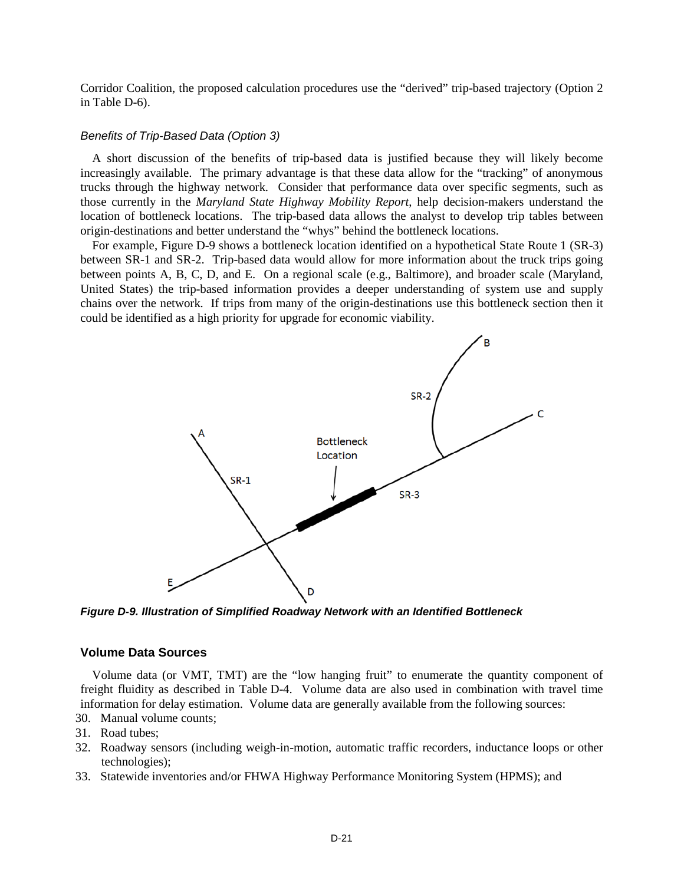Corridor Coalition, the proposed calculation procedures use the "derived" trip-based trajectory (Option 2 in Table D-6).

#### *Benefits of Trip-Based Data (Option 3)*

A short discussion of the benefits of trip-based data is justified because they will likely become increasingly available. The primary advantage is that these data allow for the "tracking" of anonymous trucks through the highway network. Consider that performance data over specific segments, such as those currently in the *Maryland State Highway Mobility Report*, help decision-makers understand the location of bottleneck locations. The trip-based data allows the analyst to develop trip tables between origin-destinations and better understand the "whys" behind the bottleneck locations.

For example, Figure D-9 shows a bottleneck location identified on a hypothetical State Route 1 (SR-3) between SR-1 and SR-2. Trip-based data would allow for more information about the truck trips going between points A, B, C, D, and E. On a regional scale (e.g., Baltimore), and broader scale (Maryland, United States) the trip-based information provides a deeper understanding of system use and supply chains over the network. If trips from many of the origin-destinations use this bottleneck section then it could be identified as a high priority for upgrade for economic viability.



*Figure D-9. Illustration of Simplified Roadway Network with an Identified Bottleneck*

#### **Volume Data Sources**

Volume data (or VMT, TMT) are the "low hanging fruit" to enumerate the quantity component of freight fluidity as described in Table D-4. Volume data are also used in combination with travel time information for delay estimation. Volume data are generally available from the following sources:

- 30. Manual volume counts;
- 31. Road tubes;
- 32. Roadway sensors (including weigh-in-motion, automatic traffic recorders, inductance loops or other technologies);
- 33. Statewide inventories and/or FHWA Highway Performance Monitoring System (HPMS); and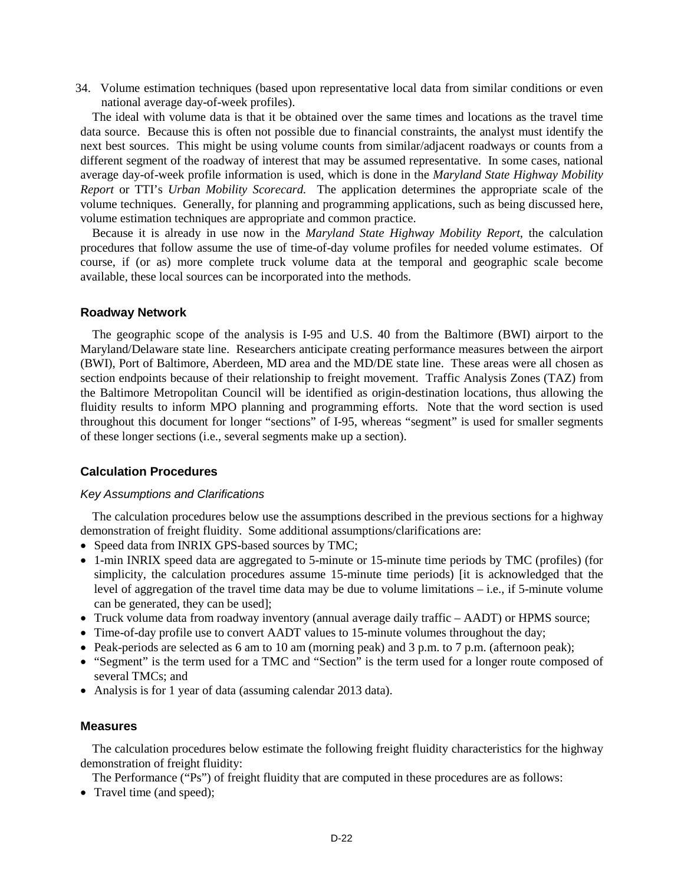34. Volume estimation techniques (based upon representative local data from similar conditions or even national average day-of-week profiles).

The ideal with volume data is that it be obtained over the same times and locations as the travel time data source. Because this is often not possible due to financial constraints, the analyst must identify the next best sources. This might be using volume counts from similar/adjacent roadways or counts from a different segment of the roadway of interest that may be assumed representative. In some cases, national average day-of-week profile information is used, which is done in the *Maryland State Highway Mobility Report* or TTI's *Urban Mobility Scorecard.* The application determines the appropriate scale of the volume techniques. Generally, for planning and programming applications, such as being discussed here, volume estimation techniques are appropriate and common practice.

Because it is already in use now in the *Maryland State Highway Mobility Report*, the calculation procedures that follow assume the use of time-of-day volume profiles for needed volume estimates. Of course, if (or as) more complete truck volume data at the temporal and geographic scale become available, these local sources can be incorporated into the methods.

#### **Roadway Network**

The geographic scope of the analysis is I-95 and U.S. 40 from the Baltimore (BWI) airport to the Maryland/Delaware state line. Researchers anticipate creating performance measures between the airport (BWI), Port of Baltimore, Aberdeen, MD area and the MD/DE state line. These areas were all chosen as section endpoints because of their relationship to freight movement. Traffic Analysis Zones (TAZ) from the Baltimore Metropolitan Council will be identified as origin-destination locations, thus allowing the fluidity results to inform MPO planning and programming efforts. Note that the word section is used throughout this document for longer "sections" of I-95, whereas "segment" is used for smaller segments of these longer sections (i.e., several segments make up a section).

## **Calculation Procedures**

#### *Key Assumptions and Clarifications*

The calculation procedures below use the assumptions described in the previous sections for a highway demonstration of freight fluidity. Some additional assumptions/clarifications are:

- Speed data from INRIX GPS-based sources by TMC;
- 1-min INRIX speed data are aggregated to 5-minute or 15-minute time periods by TMC (profiles) (for simplicity, the calculation procedures assume 15-minute time periods) [it is acknowledged that the level of aggregation of the travel time data may be due to volume limitations – i.e., if 5-minute volume can be generated, they can be used];
- Truck volume data from roadway inventory (annual average daily traffic AADT) or HPMS source;
- Time-of-day profile use to convert AADT values to 15-minute volumes throughout the day;
- Peak-periods are selected as 6 am to 10 am (morning peak) and 3 p.m. to 7 p.m. (afternoon peak);
- "Segment" is the term used for a TMC and "Section" is the term used for a longer route composed of several TMCs; and
- Analysis is for 1 year of data (assuming calendar 2013 data).

#### **Measures**

The calculation procedures below estimate the following freight fluidity characteristics for the highway demonstration of freight fluidity:

The Performance ("Ps") of freight fluidity that are computed in these procedures are as follows:

• Travel time (and speed);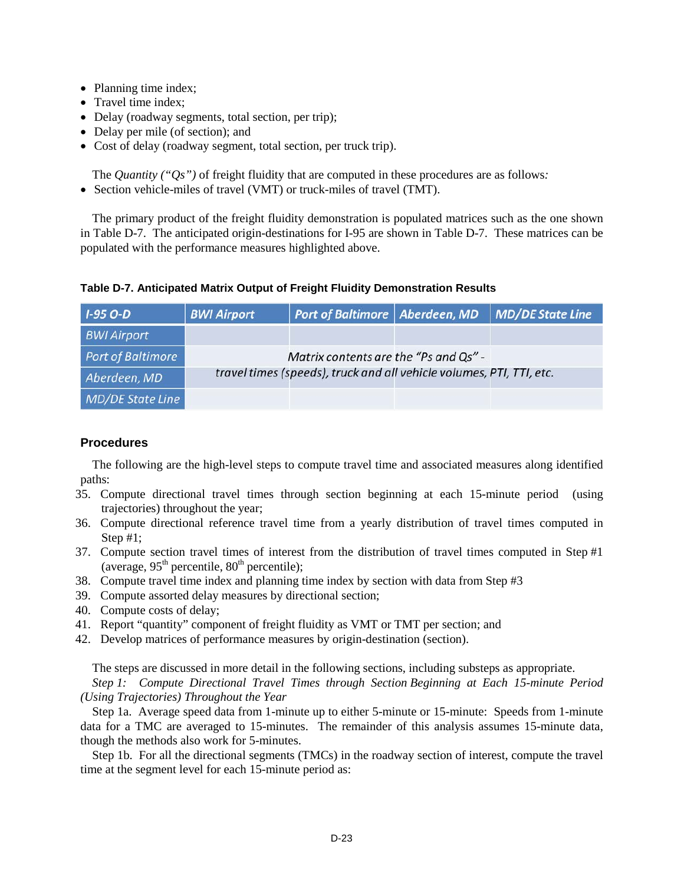- Planning time index;
- Travel time index;
- Delay (roadway segments, total section, per trip);
- Delay per mile (of section); and
- Cost of delay (roadway segment, total section, per truck trip).

The *Quantity ("Qs")* of freight fluidity that are computed in these procedures are as follows*:*

• Section vehicle-miles of travel (VMT) or truck-miles of travel (TMT).

The primary product of the freight fluidity demonstration is populated matrices such as the one shown in Table D-7. The anticipated origin-destinations for I-95 are shown in Table D-7. These matrices can be populated with the performance measures highlighted above.

| $1-95$ O-D               | <b>BWI Airport</b> | Port of Baltimore   Aberdeen, MD                                     | <b>MD/DE State Line</b> |
|--------------------------|--------------------|----------------------------------------------------------------------|-------------------------|
| <b>BWI Airport</b>       |                    |                                                                      |                         |
| <b>Port of Baltimore</b> |                    | Matrix contents are the "Ps and Qs" -                                |                         |
| Aberdeen, MD             |                    | travel times (speeds), truck and all vehicle volumes, PTI, TTI, etc. |                         |
| MD/DE State Line         |                    |                                                                      |                         |

## **Procedures**

The following are the high-level steps to compute travel time and associated measures along identified paths:

- 35. Compute directional travel times through section beginning at each 15-minute period (using trajectories) throughout the year;
- 36. Compute directional reference travel time from a yearly distribution of travel times computed in Step #1;
- 37. Compute section travel times of interest from the distribution of travel times computed in Step #1 (average,  $95<sup>th</sup>$  percentile,  $80<sup>th</sup>$  percentile);
- 38. Compute travel time index and planning time index by section with data from Step #3
- 39. Compute assorted delay measures by directional section;
- 40. Compute costs of delay;
- 41. Report "quantity" component of freight fluidity as VMT or TMT per section; and
- 42. Develop matrices of performance measures by origin-destination (section).

The steps are discussed in more detail in the following sections, including substeps as appropriate. *Step 1: Compute Directional Travel Times through Section Beginning at Each 15-minute Period (Using Trajectories) Throughout the Year*

Step 1a. Average speed data from 1-minute up to either 5-minute or 15-minute: Speeds from 1-minute data for a TMC are averaged to 15-minutes. The remainder of this analysis assumes 15-minute data, though the methods also work for 5-minutes.

Step 1b. For all the directional segments (TMCs) in the roadway section of interest, compute the travel time at the segment level for each 15-minute period as: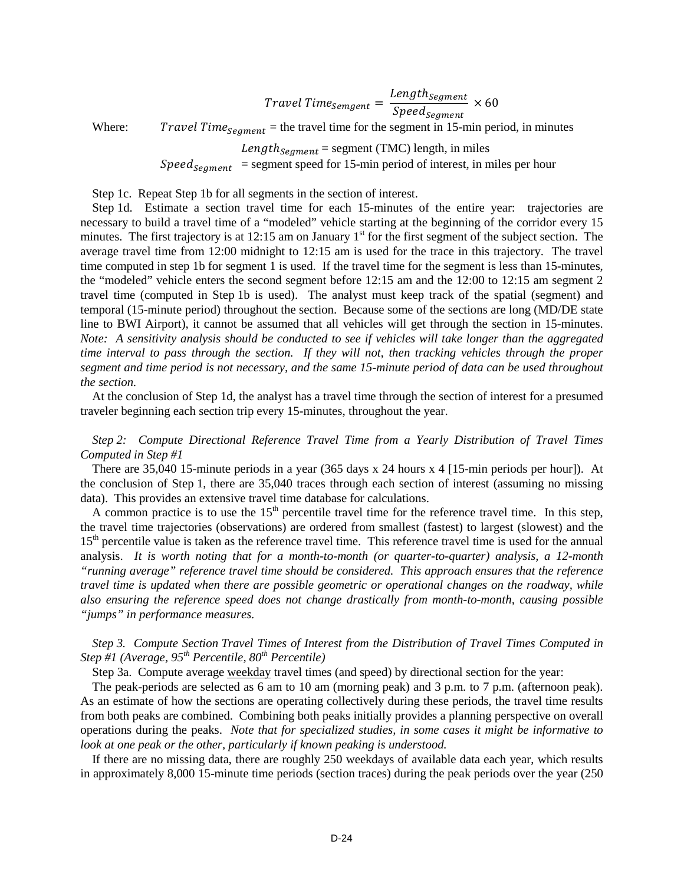$\small \textit{Travel Time}_{Semgent} = \frac{\textit{Length}_{Segment}}{\textit{Speed}_{segment}} \times 60$ 

Where: *Travel Time*<sub>segment</sub> = the travel time for the segment in 15-min period, in minutes

 $Length_{Segment} = segment (TMC)$  length, in miles

 $Speed_{segment}$  = segment speed for 15-min period of interest, in miles per hour

Step 1c. Repeat Step 1b for all segments in the section of interest.

Step 1d. Estimate a section travel time for each 15-minutes of the entire year: trajectories are necessary to build a travel time of a "modeled" vehicle starting at the beginning of the corridor every 15 minutes. The first trajectory is at 12:15 am on January  $1<sup>st</sup>$  for the first segment of the subject section. The average travel time from 12:00 midnight to 12:15 am is used for the trace in this trajectory. The travel time computed in step 1b for segment 1 is used. If the travel time for the segment is less than 15-minutes, the "modeled" vehicle enters the second segment before 12:15 am and the 12:00 to 12:15 am segment 2 travel time (computed in Step 1b is used). The analyst must keep track of the spatial (segment) and temporal (15-minute period) throughout the section. Because some of the sections are long (MD/DE state line to BWI Airport), it cannot be assumed that all vehicles will get through the section in 15-minutes. *Note: A sensitivity analysis should be conducted to see if vehicles will take longer than the aggregated time interval to pass through the section. If they will not, then tracking vehicles through the proper segment and time period is not necessary, and the same 15-minute period of data can be used throughout the section.*

At the conclusion of Step 1d, the analyst has a travel time through the section of interest for a presumed traveler beginning each section trip every 15-minutes, throughout the year.

*Step 2: Compute Directional Reference Travel Time from a Yearly Distribution of Travel Times Computed in Step #1*

There are 35,040 15-minute periods in a year (365 days x 24 hours x 4 [15-min periods per hour]). At the conclusion of Step 1, there are 35,040 traces through each section of interest (assuming no missing data). This provides an extensive travel time database for calculations.

A common practice is to use the  $15<sup>th</sup>$  percentile travel time for the reference travel time. In this step, the travel time trajectories (observations) are ordered from smallest (fastest) to largest (slowest) and the 15<sup>th</sup> percentile value is taken as the reference travel time. This reference travel time is used for the annual analysis. *It is worth noting that for a month-to-month (or quarter-to-quarter) analysis, a 12-month "running average" reference travel time should be considered. This approach ensures that the reference travel time is updated when there are possible geometric or operational changes on the roadway, while also ensuring the reference speed does not change drastically from month-to-month, causing possible "jumps" in performance measures.*

*Step 3. Compute Section Travel Times of Interest from the Distribution of Travel Times Computed in Step #1 (Average, 95th Percentile, 80th Percentile)*

Step 3a. Compute average weekday travel times (and speed) by directional section for the year:

The peak-periods are selected as 6 am to 10 am (morning peak) and 3 p.m. to 7 p.m. (afternoon peak). As an estimate of how the sections are operating collectively during these periods, the travel time results from both peaks are combined. Combining both peaks initially provides a planning perspective on overall operations during the peaks. *Note that for specialized studies, in some cases it might be informative to look at one peak or the other, particularly if known peaking is understood.*

If there are no missing data, there are roughly 250 weekdays of available data each year, which results in approximately 8,000 15-minute time periods (section traces) during the peak periods over the year (250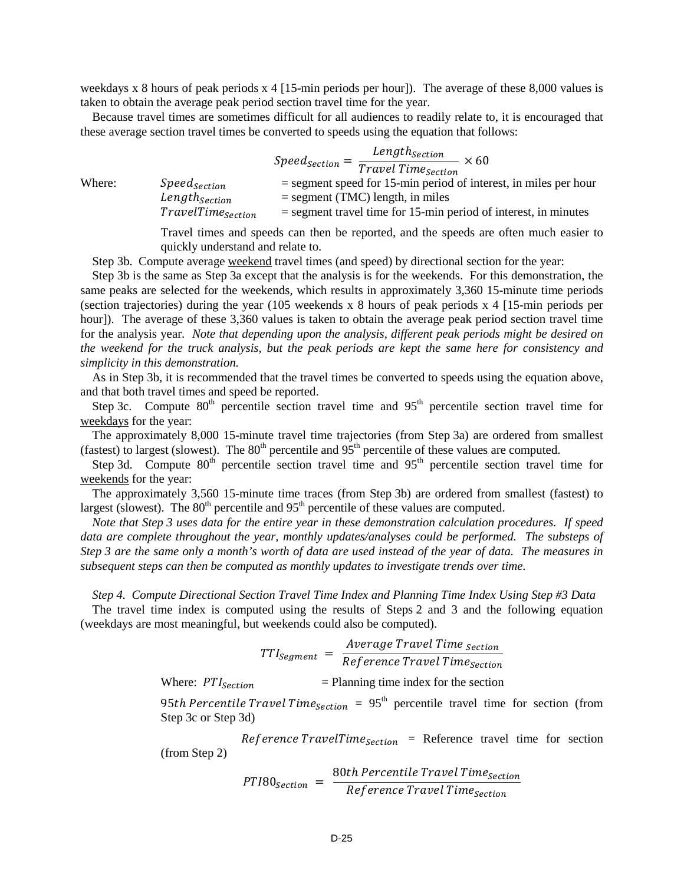weekdays x 8 hours of peak periods x 4 [15-min periods per hour]). The average of these 8,000 values is taken to obtain the average peak period section travel time for the year.

Because travel times are sometimes difficult for all audiences to readily relate to, it is encouraged that these average section travel times be converted to speeds using the equation that follows:

|        |                                                       | $Speed_{section} = \frac{Length_{Section}}{Travel\ Time_{section}} \times 60$                            |
|--------|-------------------------------------------------------|----------------------------------------------------------------------------------------------------------|
| Where: | Speed <sub>Section</sub><br>Length <sub>Section</sub> | $=$ segment speed for 15-min period of interest, in miles per hour<br>$=$ segment (TMC) length, in miles |
|        | TravelTime <sub>Section</sub>                         | $=$ segment travel time for 15-min period of interest, in minutes                                        |

Travel times and speeds can then be reported, and the speeds are often much easier to quickly understand and relate to.

Step 3b. Compute average weekend travel times (and speed) by directional section for the year:

Step 3b is the same as Step 3a except that the analysis is for the weekends. For this demonstration, the same peaks are selected for the weekends, which results in approximately 3,360 15-minute time periods (section trajectories) during the year (105 weekends x 8 hours of peak periods x 4 [15-min periods per hour]). The average of these 3,360 values is taken to obtain the average peak period section travel time for the analysis year. *Note that depending upon the analysis, different peak periods might be desired on the weekend for the truck analysis, but the peak periods are kept the same here for consistency and simplicity in this demonstration.* 

As in Step 3b, it is recommended that the travel times be converted to speeds using the equation above, and that both travel times and speed be reported.

Step 3c. Compute  $80<sup>th</sup>$  percentile section travel time and  $95<sup>th</sup>$  percentile section travel time for weekdays for the year:

The approximately 8,000 15-minute travel time trajectories (from Step 3a) are ordered from smallest (fastest) to largest (slowest). The  $80<sup>th</sup>$  percentile and  $95<sup>th</sup>$  percentile of these values are computed.

Step 3d. Compute  $80<sup>th</sup>$  percentile section travel time and  $95<sup>th</sup>$  percentile section travel time for weekends for the year:

The approximately 3,560 15-minute time traces (from Step 3b) are ordered from smallest (fastest) to largest (slowest). The  $80<sup>th</sup>$  percentile and  $95<sup>th</sup>$  percentile of these values are computed.

*Note that Step 3 uses data for the entire year in these demonstration calculation procedures. If speed data are complete throughout the year, monthly updates/analyses could be performed. The substeps of Step 3 are the same only a month's worth of data are used instead of the year of data. The measures in subsequent steps can then be computed as monthly updates to investigate trends over time.*

*Step 4. Compute Directional Section Travel Time Index and Planning Time Index Using Step #3 Data*

The travel time index is computed using the results of Steps 2 and 3 and the following equation (weekdays are most meaningful, but weekends could also be computed).

 $TTI_{Segment}$  =  $\frac{Average \: Travel \: Time \: section}{Reference \: Travel \: Time \: section}$ 

Where:  $PTI_{Section}$  = Planning time index for the section

95th Percentile Travel Time<sub>Section</sub> =  $95<sup>th</sup>$  percentile travel time for section (from Step 3c or Step 3d)

Reference TravelTime  $s_{ection}$  = Reference travel time for section (from Step 2)

$$
PTI80_{section} = \frac{80th\,Percentile\,Travel\,Time_{section}}{Reference\,Travel\,Time_{section}}
$$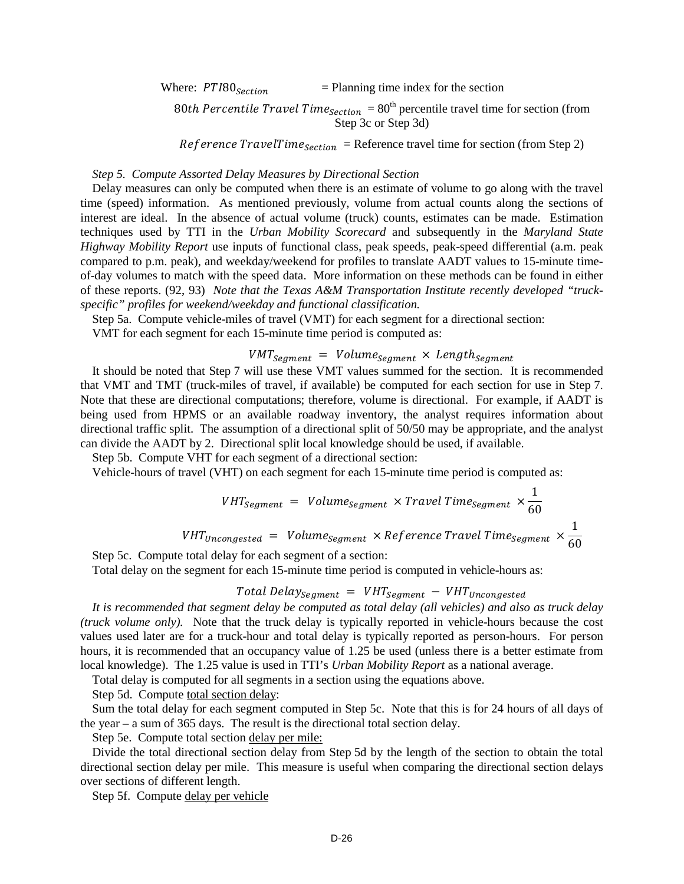Where:  $PTI80_{Section}$  = Planning time index for the section

80th Percentile Travel Time<sub>Section</sub> =  $80^{\text{th}}$  percentile travel time for section (from Step 3c or Step 3d)

 $Reference TravelTime<sub>section</sub> = Reference travel time for section (from Step 2)$ 

#### *Step 5. Compute Assorted Delay Measures by Directional Section*

Delay measures can only be computed when there is an estimate of volume to go along with the travel time (speed) information. As mentioned previously, volume from actual counts along the sections of interest are ideal. In the absence of actual volume (truck) counts, estimates can be made. Estimation techniques used by TTI in the *Urban Mobility Scorecard* and subsequently in the *Maryland State Highway Mobility Report* use inputs of functional class, peak speeds, peak-speed differential (a.m. peak compared to p.m. peak), and weekday/weekend for profiles to translate AADT values to 15-minute timeof-day volumes to match with the speed data. More information on these methods can be found in either of these reports. (92, 93) *Note that the Texas A&M Transportation Institute recently developed "truckspecific" profiles for weekend/weekday and functional classification.* 

Step 5a. Compute vehicle-miles of travel (VMT) for each segment for a directional section:

VMT for each segment for each 15-minute time period is computed as:

## $VMT_{Segment}$  =  $Volume_{segment}$  ×  $Length_{segment}$

It should be noted that Step 7 will use these VMT values summed for the section. It is recommended that VMT and TMT (truck-miles of travel, if available) be computed for each section for use in Step 7. Note that these are directional computations; therefore, volume is directional. For example, if AADT is being used from HPMS or an available roadway inventory, the analyst requires information about directional traffic split. The assumption of a directional split of 50/50 may be appropriate, and the analyst can divide the AADT by 2. Directional split local knowledge should be used, if available.

Step 5b. Compute VHT for each segment of a directional section:

Vehicle-hours of travel (VHT) on each segment for each 15-minute time period is computed as:

$$
VHT_{segment} = Volume_{segment} \times TravelTime_{segment} \times \frac{1}{60}
$$
  

$$
VHT_{Uncongested} = Volume_{segment} \times Reference TravelTime_{segment} \times \frac{1}{60}
$$

Step 5c. Compute total delay for each segment of a section: Total delay on the segment for each 15-minute time period is computed in vehicle-hours as:

## Total Delay<sub>Segment</sub> =  $VHT_{Segment} - VHT_{Uncongested}$

*It is recommended that segment delay be computed as total delay (all vehicles) and also as truck delay (truck volume only).* Note that the truck delay is typically reported in vehicle-hours because the cost values used later are for a truck-hour and total delay is typically reported as person-hours. For person hours, it is recommended that an occupancy value of 1.25 be used (unless there is a better estimate from local knowledge). The 1.25 value is used in TTI's *Urban Mobility Report* as a national average.

Total delay is computed for all segments in a section using the equations above.

Step 5d. Compute total section delay:

Sum the total delay for each segment computed in Step 5c. Note that this is for 24 hours of all days of the year – a sum of 365 days. The result is the directional total section delay.

Step 5e. Compute total section delay per mile:

Divide the total directional section delay from Step 5d by the length of the section to obtain the total directional section delay per mile. This measure is useful when comparing the directional section delays over sections of different length.

Step 5f. Compute delay per vehicle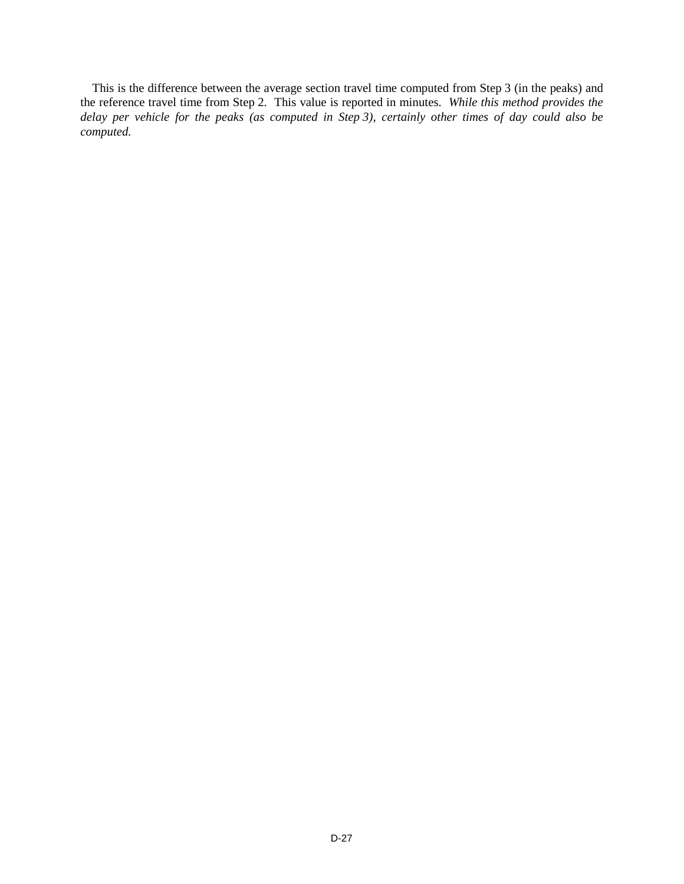This is the difference between the average section travel time computed from Step 3 (in the peaks) and the reference travel time from Step 2. This value is reported in minutes. *While this method provides the delay per vehicle for the peaks (as computed in Step 3), certainly other times of day could also be computed.*